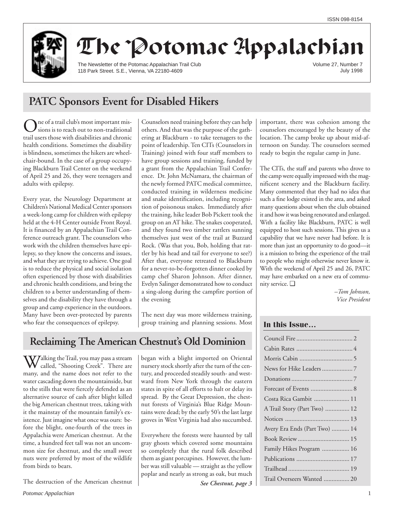

# The Potomac Appalachian

The Newsletter of the Potomac Appalachian Trail Club 118 Park Street. S.E., Vienna, VA 22180-4609

Volume 27, Number 7 July 1998

## **PATC Sponsors Event for Disabled Hikers**

ne of a trail club's most important missions is to reach out to non-traditional trail users those with disabilities and chronic health conditions. Sometimes the disability is blindness, sometimes the hikers are wheelchair-bound. In the case of a group occupying Blackburn Trail Center on the weekend of April 25 and 26, they were teenagers and adults with epilepsy.

Every year, the Neurology Department at Children's National Medical Center sponsors a week-long camp for children with epilepsy held at the 4-H Center outside Front Royal. It is financed by an Appalachian Trail Conference outreach grant. The counselors who work with the children themselves have epilepsy, so they know the concerns and issues, and what they are trying to achieve. One goal is to reduce the physical and social isolation often experienced by those with disabilities and chronic health conditions, and bring the children to a better understanding of themselves and the disability they have through a group and camp experience in the outdoors. Many have been over-protected by parents who fear the consequences of epilepsy.

Counselors need training before they can help others. And that was the purpose of the gathering at Blackburn - to take teenagers to the point of leadership. Ten CITs (Counselors in Training) joined with four staff members to have group sessions and training, funded by a grant from the Appalachian Trail Conference. Dr. John McNamara, the chairman of the newly formed PATC medical committee, conducted training in wilderness medicine and snake identification, including recognition of poisonous snakes. Immediately after the training, hike leader Bob Pickett took the group on an AT hike. The snakes cooperated, and they found two timber rattlers sunning themselves just west of the trail at Buzzard Rock. (Was that you, Bob, holding that rattler by his head and tail for everyone to see?) After that, everyone retreated to Blackburn for a never-to-be-forgotten dinner cooked by camp chef Sharon Johnson. After dinner, Evelyn Salinger demonstrated how to conduct a sing-along during the campfire portion of the evening

The next day was more wilderness training, group training and planning sessions. Most

## **Reclaiming The American Chestnut's Old Dominion**

 $\sum$  alking the Trail, you may pass a stream called, "Shooting Creek". There are many, and the name does not refer to the water cascading down the mountainside, but to the stills that were fiercely defended as an alternative source of cash after blight killed the big American chestnut trees, taking with it the mainstay of the mountain family's existence. Just imagine what once was ours: before the blight, one-fourth of the trees in Appalachia were American chestnut. At the time, a hundred feet tall was not an uncommon size for chestnut, and the small sweet nuts were preferred by most of the wildlife from birds to bears.

The destruction of the American chestnut

began with a blight imported on Oriental nursery stock shortly after the turn of the century, and proceeded steadily south- and westward from New York through the eastern states in spite of all efforts to halt or delay its spread. By the Great Depression, the chestnut forests of Virginia's Blue Ridge Mountains were dead; by the early 50's the last large groves in West Virginia had also succumbed.

Everywhere the forests were haunted by tall gray ghosts which covered some mountains so completely that the rural folk described them as giant porcupines. However, the lumber was still valuable — straight as the yellow poplar and nearly as strong as oak, but much

important, there was cohesion among the counselors encouraged by the beauty of the location. The camp broke up about mid-afternoon on Sunday. The counselors seemed ready to begin the regular camp in June.

The CITs, the staff and parents who drove to the camp were equally impressed with the magnificent scenery and the Blackburn facility. Many commented that they had no idea that such a fine lodge existed in the area, and asked many questions about when the club obtained it and how it was being renovated and enlarged. With a facility like Blackburn, PATC is well equipped to host such sessions. This gives us a capability that we have never had before. It is more than just an opportunity to do good—it is a mission to bring the experience of the trail to people who might otherwise never know it. With the weekend of April 25 and 26, PATC may have embarked on a new era of community service. ❑

> *–Tom Johnson, Vice President*

## **In this Issue…**

| News for Hike Leaders 7       |
|-------------------------------|
|                               |
|                               |
| Costa Rica Gambit  11         |
| A Trail Story (Part Two)  12  |
|                               |
| Avery Era Ends (Part Two)  14 |
|                               |
| Family Hikes Program  16      |
|                               |
|                               |
| Trail Overseers Wanted  20    |

*See Chestnut, page 3*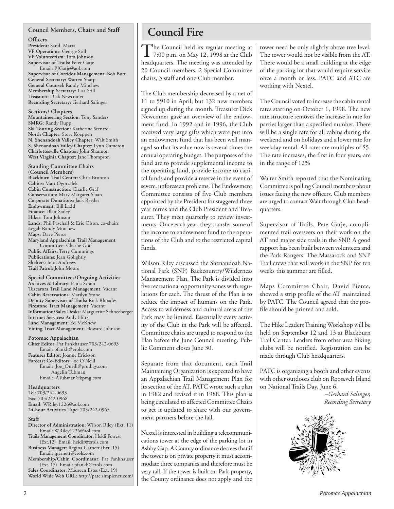## **Council Members, Chairs and Staff**

## **Officers**

**President:** Sandi Marra **VP Operations:** George Still **VP Volunteerism:** Tom Johnson **Supervisor of Trails:** Peter Gatje Email: PJGatje@aol.com **Supervisor of Corridor Management:** Bob Butt **General Secretary:** Warren Sharp **General Counsel:** Randy Minchew **Membership Secretary:** Lisa Still **Treasurer:** Dick Newcomer **Recording Secretary:** Gerhard Salinger

**Sections/ Chapters**

**Mountaineering Section:** Tony Sanders **SMRG:** Randy Rupp **Ski Touring Section:** Katherine Stentzel **North Chapter:** Steve Koeppen **N. Shenandoah Valley Chapter:** Walt Smith **S. Shenandoah Valley Chapter:** Lynn Cameron **Charlottesville Chapter:** John Shannon **West Virginia Chapter:** Jane Thompson

## **Standing Committee Chairs**

**(Council Members) Blackburn Trail Center:** Chris Brunton **Cabins:** Matt Ogorzalek **Cabin Construction:** Charlie Graf **Conservation:** Mary Margaret Sloan **Corporate Donations:** Jack Reeder **Endowment:** Bill Ladd **Finance:** Blair Staley **Hikes:** Tom Johnson **Lands:** Phil Paschall & Eric Olson, co-chairs **Legal:** Randy Minchew **Maps:** Dave Pierce **Maryland Appalachian Trail Management Committee:** Charlie Graf **Public Affairs:** Terry Cummings **Publications:** Jean Golightly **Shelters:** John Andrews **Trail Patrol:** John Moore

**Special Committees/Ongoing Activities Archives & Library:** Paula Strain **Tuscarora Trail Land Management:** Vacant **Cabin Reservations:** Marilyn Stone **Deputy Supervisor of Trails:** Rick Rhoades **Firestone Tract Management:** Vacant **Information/Sales Desks:** Marguerite Schneeberger **Internet Services:** Andy Hiltz **Land Management:** Ed McKnew **Vining Tract Management:** Howard Johnson

## **Potomac Appalachian**

**Chief Editor:** Pat Fankhauser 703/242-0693 Email: pfankh@erols.com **Features Editor:** Joanne Erickson **Forecast Co-Editors:** Joe O'Neill Email: Joe\_Oneill@prodigy.com Angelin Tubman Email: ATubman@kpmg.com

## **Headquarters**

**Tel:** 703/242-0693 **Fax:** 703/242-0968 **Email:** WRiley1226@aol.com **24-hour Activities Tape:** 703/242-0965

## **Staff**

- **Director of Administration:** Wilson Riley (Ext. 11) Email: WRiley1226@aol.com
- **Trails Management Coordinator:** Heidi Forrest (Ext.12) Email: heidif@erols.com **Business Manager:** Regina Garnett (Ext. 15)
- Email: rgarnett@erols.com

**Membership/Cabin Coordinator:** Pat Fankhauser (Ext. 17) Email: pfankh@erols.com **Sales Coordinator:** Maureen Estes (Ext. 19) **World Wide Web URL:** http://patc.simplenet.com/

## **Council Fire**

The Council held its regular meeting at<br>7:00 p.m. on May 12, 1998 at the Club<br>1.11 headquarters. The meeting was attended by 20 Council members, 2 Special Committee chairs, 3 staff and one Club member.

The Club membership decreased by a net of 11 to 5910 in April; but 132 new members signed up during the month. Treasurer Dick Newcomer gave an overview of the endowment fund. In 1992 and in 1996, the Club received very large gifts which were put into an endowment fund that has been well managed so that its value now is several times the annual operating budget. The purposes of the fund are to provide supplemental income to the operating fund, provide income to capital funds and provide a reserve in the event of severe, unforeseen problems. The Endowment Committee consists of five Club members appointed by the President for staggered three year terms and the Club President and Treasurer. They meet quarterly to review investments. Once each year, they transfer some of the income to endowment fund to the operations of the Club and to the restricted capital funds.

Wilson Riley discussed the Shenandoah National Park (SNP) Backcountry/Wilderness Management Plan. The Park is divided into five recreational opportunity zones with regulations for each. The thrust of the Plan is to reduce the impact of humans on the Park. Access to wilderness and cultural areas of the Park may be limited. Essentially every activity of the Club in the Park will be affected. Committee chairs are urged to respond to the Plan before the June Council meeting. Public Comment closes June 30.

Separate from that document, each Trail Maintaining Organization is expected to have an Appalachian Trail Management Plan for its section of the AT. PATC wrote such a plan in 1982 and revised it in 1988. This plan is being circulated to affected Committee Chairs to get it updated to share with our government partners before the fall.

Nextel is interested in building a telecommunications tower at the edge of the parking lot in Ashby Gap. A County ordinance decrees that if the tower is on private property it must accommodate three companies and therefore must be very tall. If the tower is built on Park property, the County ordinance does not apply and the

tower need be only slightly above tree level. The tower would not be visible from the AT. There would be a small building at the edge of the parking lot that would require service once a month or less. PATC and ATC are working with Nextel.

The Council voted to increase the cabin rental rates starting on October 1, 1998. The new rate structure removes the increase in rate for parties larger than a specified number. There will be a single rate for all cabins during the weekend and on holidays and a lower rate for weekday rental. All rates are multiples of \$5. The rate increases, the first in four years, are in the range of 12%

Walter Smith reported that the Nominating Committee is polling Council members about issues facing the new officers. Club members are urged to contact Walt through Club headquarters.

Supervisor of Trails, Pete Gatje, complimented trail overseers on their work on the AT and major side trails in the SNP. A good rapport has been built between volunteers and the Park Rangers. The Massarock and SNP Trail crews that will work in the SNP for ten weeks this summer are filled.

Maps Committee Chair, David Pierce, showed a strip profile of the AT maintained by PATC. The Council agreed that the profile should be printed and sold.

The Hike Leaders Training Workshop will be held on September 12 and 13 at Blackburn Trail Center. Leaders from other area hiking clubs will be notified. Registration can be made through Club headquarters.

PATC is organizing a booth and other events with other outdoors club on Roosevelt Island on National Trails Day, June 6.

> *–Gerhard Salinger, Recording Secretary*

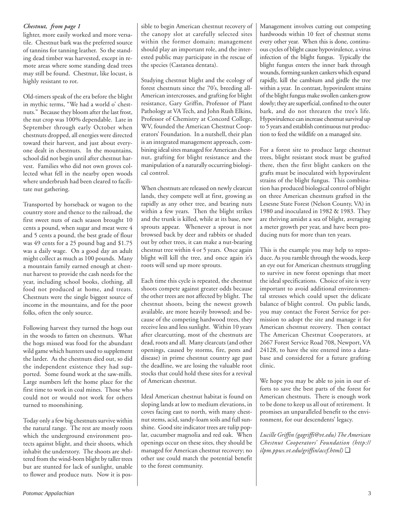## *Chestnut, from page 1*

lighter, more easily worked and more versatile. Chestnut bark was the preferred source of tannins for tanning leather. So the standing dead timber was harvested, except in remote areas where some standing dead trees may still be found. Chestnut, like locust, is highly resistant to rot.

Old-timers speak of the era before the blight in mythic terms, "We had a world o' chestnuts." Because they bloom after the last frost, the nut crop was 100% dependable. Late in September through early October when chestnuts dropped, all energies were directed toward their harvest, and just about everyone dealt in chestnuts. In the mountains, school did not begin until after chestnut harvest. Families who did not own groves collected what fell in the nearby open woods where underbrush had been cleared to facilitate nut gathering.

Transported by horseback or wagon to the country store and thence to the railroad, the first sweet nuts of each season brought 10 cents a pound, when sugar and meat were 4 and 5 cents a pound, the best grade of flour was 49 cents for a 25 pound bag and \$1.75 was a daily wage. On a good day an adult might collect as much as 100 pounds. Many a mountain family earned enough at chestnut harvest to provide the cash needs for the year, including school books, clothing, all food not produced at home, and treats. Chestnuts were the single biggest source of income in the mountains, and for the poor folks, often the only source.

Following harvest they turned the hogs out in the woods to fatten on chestnuts. What the hogs missed was food for the abundant wild game which hunters used to supplement the larder. As the chestnuts died out, so did the independent existence they had supported. Some found work at the saw-mills. Large numbers left the home place for the first time to work in coal mines. Those who could not or would not work for others turned to moonshining.

Today only a few big chestnuts survive within the natural range. The rest are mostly roots which the underground environment protects against blight, and their shoots, which inhabit the understory. The shoots are sheltered from the wind-born blight by taller trees but are stunted for lack of sunlight, unable to flower and produce nuts. Now it is possible to begin American chestnut recovery of the canopy slot at carefully selected sites within the former domain; management should play an important role, and the interested public may participate in the rescue of the species (Castanea dentata).

Studying chestnut blight and the ecology of forest chestnuts since the 70's, breeding all-American intercrosses, and grafting for blight resistance, Gary Griffin, Professor of Plant Pathology at VA Tech, and John Rush Elkins, Professor of Chemistry at Concord College, WV, founded the American Chestnut Cooperators' Foundation. In a nutshell, their plan is an integrated management approach, combining ideal sites managed for American chestnut, grafting for blight resistance and the manipulation of a naturally occurring biological control.

When chestnuts are released on newly clearcut lands, they compete well at first, growing as rapidly as any other tree, and bearing nuts within a few years. Then the blight strikes and the trunk is killed, while at its base, new sprouts appear. Whenever a sprout is not browsed back by deer and rabbits or shaded out by other trees, it can make a nut-bearing chestnut tree within 4 or 5 years. Once again blight will kill the tree, and once again it's roots will send up more sprouts.

Each time this cycle is repeated, the chestnut shoots compete against greater odds because the other trees are not affected by blight. The chestnut shoots, being the newest growth available, are more heavily browsed; and because of the competing hardwood trees, they receive less and less sunlight. Within 10 years after clearcutting, most of the chestnuts are dead, roots and all. Many clearcuts (and other openings, caused by storms, fire, pests and disease) in prime chestnut country age past the deadline, we are losing the valuable root stocks that could hold these sites for a revival of American chestnut.

Ideal American chestnut habitat is found on sloping lands at low to medium elevations, in coves facing east to north, with many chestnut stems, acid, sandy-loam soils and full sunshine. Good site indicator trees are tulip poplar, cucumber magnolia and red oak. When openings occur on these sites, they should be managed for American chestnut recovery; no other use could match the potential benefit to the forest community.

Management involves cutting out competing hardwoods within 10 feet of chestnut stems every other year. When this is done, continuous cycles of blight cause hypovirulence, a virus infection of the blight fungus. Typically the blight fungus enters the inner bark through wounds, forming sunken cankers which expand rapidly, kill the cambium and girdle the tree within a year. In contrast, hypovirulent strains of the blight fungus make swollen cankers grow slowly; they are superficial, confined to the outer bark, and do not threaten the tree's life. Hypovirulence can increase chestnut survival up to 5 years and establish continuous nut production to feed the wildlife on a managed site.

For a forest site to produce large chestnut trees, blight resistant stock must be grafted there, then the first blight cankers on the grafts must be inoculated with hypovirulent strains of the blight fungus. This combination has produced biological control of blight on three American chestnuts grafted in the Lesesne State Forest (Nelson County, VA) in 1980 and inoculated in 1982 & 1983. They are thriving amidst a sea of blight, averaging a meter growth per year, and have been producing nuts for more than ten years.

This is the example you may help to reproduce. As you ramble through the woods, keep an eye out for American chestnuts struggling to survive in new forest openings that meet the ideal specifications. Choice of site is very important to avoid additional environmental stresses which could upset the delicate balance of blight control. On public lands, you may contact the Forest Service for permission to adopt the site and manage it for American chestnut recovery. Then contact The American Chestnut Cooperators, at 2667 Forest Service Road 708, Newport, VA 24128, to have the site entered into a database and considered for a future grafting clinic.

We hope you may be able to join in our efforts to save the best parts of the forest for American chestnuts. There is enough work to be done to keep us all out of retirement. It promises an unparalleled benefit to the environment, for our descendents' legacy.

*Lucille Griffin (gagriffi@vt.edu) The American Chestnut Cooperators' Foundation (http:// ilpm.ppws.vt.edu/griffin/accf.html)* ❑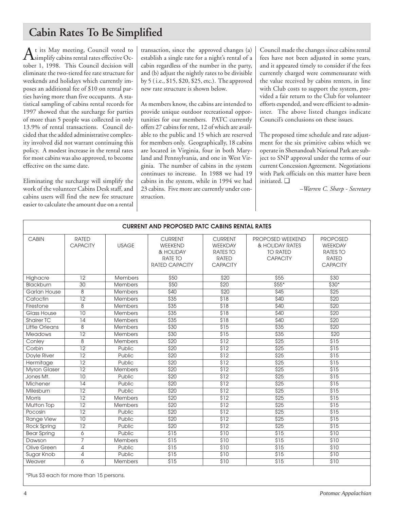## **Cabin Rates To Be Simplified**

 $A<sup>t</sup>$  its May meeting, Council voted to<br>simplify cabins rental rates effective October 1, 1998. This Council decision will eliminate the two-tiered fee rate structure for weekends and holidays which currently imposes an additional fee of \$10 on rental parties having more than five occupants. A statistical sampling of cabins rental records for 1997 showed that the surcharge for parties of more than 5 people was collected in only 13.9% of rental transactions. Council decided that the added administrative complexity involved did not warrant continuing this policy. A modest increase in the rental rates for most cabins was also approved, to become effective on the same date.

Eliminating the surcharge will simplify the work of the volunteer Cabins Desk staff, and cabins users will find the new fee structure easier to calculate the amount due on a rental

transaction, since the approved changes (a) establish a single rate for a night's rental of a cabin regardless of the number in the party, and (b) adjust the nightly rates to be divisible by 5 ( i.e., \$15, \$20, \$25, etc.). The approved new rate structure is shown below.

As members know, the cabins are intended to provide unique outdoor recreational opportunities for our members. PATC currently offers 27 cabins for rent, 12 of which are available to the public and 15 which are reserved for members only. Geographically, 18 cabins are located in Virginia, four in both Maryland and Pennsylvania, and one in West Virginia. The number of cabins in the system continues to increase. In 1988 we had 19 cabins in the system, while in 1994 we had 23 cabins. Five more are currently under construction.

Council made the changes since cabins rental fees have not been adjusted in some years, and it appeared timely to consider if the fees currently charged were commensurate with the value received by cabins renters, in line with Club costs to support the system, provided a fair return to the Club for volunteer efforts expended, and were efficient to administer. The above listed changes indicate Council's conclusions on these issues.

The proposed time schedule and rate adjustment for the six primitive cabins which we operate in Shenandoah National Park are subject to SNP approval under the terms of our current Concession Agreement. Negotiations with Park officials on this matter have been initiated. ❑

*–Warren C. Sharp - Secretary*

| <b>CURRENT AND PROPOSED PATC CABINS RENTAL RATES</b> |                                 |                |                                                                            |                                                                                 |                                                                           |                                                                                  |
|------------------------------------------------------|---------------------------------|----------------|----------------------------------------------------------------------------|---------------------------------------------------------------------------------|---------------------------------------------------------------------------|----------------------------------------------------------------------------------|
| <b>CABIN</b>                                         | <b>RATED</b><br><b>CAPACITY</b> | <b>USAGE</b>   | <b>CURRENT</b><br>WEEKEND<br>& HOLIDAY<br>RATE TO<br><b>RATED CAPACITY</b> | <b>CURRENT</b><br>WEEKDAY<br><b>RATES TO</b><br><b>RATED</b><br><b>CAPACITY</b> | PROPOSED WEEKEND<br>& HOLIDAY RATES<br><b>TO RATED</b><br><b>CAPACITY</b> | <b>PROPOSED</b><br>WEEKDAY<br><b>RATES TO</b><br><b>RATED</b><br><b>CAPACITY</b> |
| Highacre                                             | 12                              | <b>Members</b> | \$50                                                                       | \$20                                                                            | \$55                                                                      | \$30                                                                             |
| Blackburn                                            | $\overline{30}$                 | <b>Members</b> | \$50                                                                       | \$20                                                                            | $$55*$                                                                    | $$30*$                                                                           |
| <b>Garlan House</b>                                  | $\overline{8}$                  | <b>Members</b> | \$40                                                                       | \$20                                                                            | $\overline{$45}$                                                          | $\overline{$}25$                                                                 |
| Catoctin                                             | $\overline{12}$                 | <b>Members</b> | \$35                                                                       | \$18                                                                            | \$40                                                                      | $\overline{$}20$                                                                 |
| Firestone                                            | $\overline{8}$                  | Members        | $\overline{$}35$                                                           | \$18                                                                            | \$40                                                                      | \$20                                                                             |
| Glass House                                          | $\overline{10}$                 | <b>Members</b> | \$35                                                                       | \$18                                                                            | \$40                                                                      | \$20                                                                             |
| <b>Shairer TC</b>                                    | $\overline{14}$                 | <b>Members</b> | \$35                                                                       | \$18                                                                            | \$40                                                                      | \$20                                                                             |
| Little Orleans                                       | 8                               | Members        | \$30                                                                       | \$15                                                                            | \$35                                                                      | $\overline{$}20$                                                                 |
| <b>Meadows</b>                                       | $\overline{12}$                 | <b>Members</b> | \$30                                                                       | \$15                                                                            | \$35                                                                      | \$20                                                                             |
| Conley                                               | $\overline{8}$                  | <b>Members</b> | \$20                                                                       | \$12                                                                            | $\overline{$}25$                                                          | \$15                                                                             |
| Corbin                                               | $\overline{12}$                 | Public         | \$20                                                                       | \$12                                                                            | \$25                                                                      | \$15                                                                             |
| Doyle River                                          | $\overline{12}$                 | Public         | \$20                                                                       | $\overline{$12}$                                                                | $\overline{$}25$                                                          | \$15                                                                             |
| Hermitage                                            | $\overline{12}$                 | Public         | \$20                                                                       | \$12                                                                            | $\overline{$}25$                                                          | \$15                                                                             |
| <b>Myron Glaser</b>                                  | $\overline{12}$                 | Members        | \$20                                                                       | \$12                                                                            | $\overline{$}25$                                                          | \$15                                                                             |
| Jones Mt.                                            | $\overline{10}$                 | Public         | \$20                                                                       | \$12                                                                            | $\overline{$}25$                                                          | \$15                                                                             |
| Michener                                             | $\overline{14}$                 | Public         | \$20                                                                       | \$12                                                                            | $\overline{$}25$                                                          | \$15                                                                             |
| Milesburn                                            | $\overline{12}$                 | Public         | $\overline{$}20$                                                           | \$12                                                                            | \$25                                                                      | $\overline{$}315$                                                                |
| <b>Morris</b>                                        | $\overline{12}$                 | <b>Members</b> | \$20                                                                       | \$12                                                                            | \$25                                                                      | \$15                                                                             |
| <b>Mutton Top</b>                                    | $\overline{12}$                 | <b>Members</b> | \$20                                                                       | $\overline{$12}$                                                                | $\overline{$}25$                                                          | $\overline{$15}$                                                                 |
| Pocosin                                              | $\overline{12}$                 | Public         | \$20                                                                       | \$12                                                                            | \$25                                                                      | \$15                                                                             |
| <b>Range View</b>                                    | 10                              | Public         | \$20                                                                       | $\overline{$12}$                                                                | $\overline{$}25$                                                          | $\overline{$}315$                                                                |
| <b>Rock Spring</b>                                   | $\overline{12}$                 | Public         | \$20                                                                       | $\overline{$12}$                                                                | $\overline{$}25$                                                          | \$15                                                                             |
| <b>Bear Spring</b>                                   | 6                               | Public         | \$15                                                                       | \$10                                                                            | $\overline{$15}$                                                          | \$10                                                                             |
| Dawson                                               | $\overline{7}$                  | <b>Members</b> | \$15                                                                       | \$10                                                                            | $\overline{$15}$                                                          | \$10                                                                             |
| Olive Green                                          | $\overline{4}$                  | Public         | $\overline{$}3\overline{15}$                                               | \$10                                                                            | \$15                                                                      | \$10                                                                             |
| Sugar Knob                                           | 4                               | Public         | \$15                                                                       | \$10                                                                            | \$15                                                                      | \$10                                                                             |
| Weaver                                               | 6                               | Members        | \$15                                                                       | \$10                                                                            | \$15                                                                      | \$10                                                                             |

\*Plus \$3 each for more than 15 persons.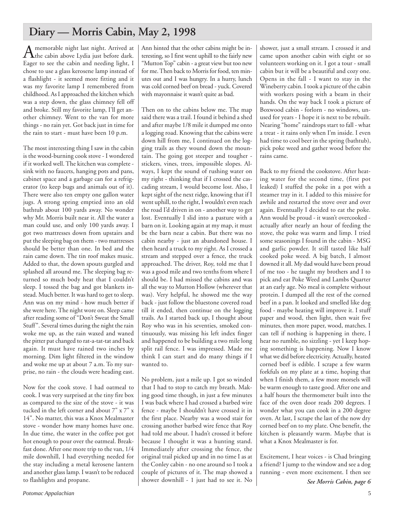## **Diary — Morris Cabin, May 2, 1998**

A memorable night last night. Arrived at<br>the cabin above Lydia just before dark. Eager to see the cabin and needing light, I chose to use a glass kerosene lamp instead of a flashlight - it seemed more fitting and it was my favorite lamp I remembered from childhood. As I approached the kitchen which was a step down, the glass chimney fell off and broke. Still my favorite lamp, I'll get another chimney. Went to the van for more things - no rain yet. Got back just in time for the rain to start - must have been 10 p.m.

The most interesting thing I saw in the cabin is the wood-burning cook stove - I wondered if it worked well. The kitchen was complete sink with no faucets, hanging pots and pans, cabinet space and a garbage can for a refrigerator (to keep bugs and animals out of it). There were also ten empty one gallon water jugs. A strong spring emptied into an old bathtub about 100 yards away. No wonder why Mr. Morris built near it. All the water a man could use, and only 100 yards away. I got two mattresses down from upstairs and put the sleeping bag on them - two mattresses should be better than one. In bed and the rain came down. The tin roof makes music. Added to that, the down spouts gurgled and splashed all around me. The sleeping bag returned so much body heat that I couldn't sleep. I tossed the bag and got blankets instead. Much better. It was hard to get to sleep. Ann was on my mind - how much better if she were here. The night wore on. Sleep came after reading some of "Don't Sweat the Small Stuff". Several times during the night the rain woke me up, as the rain waxed and waned the pitter pat changed to rat-a-tat-tat and back again. It must have rained two inches by morning. Dim light filtered in the window and woke me up at about 7 a.m. To my surprise, no rain - the clouds were heading east.

Now for the cook stove. I had oatmeal to cook. I was very surprised at the tiny fire box as compared to the size of the stove - it was tucked in the left corner and about 7" x 7" x 14". No matter, this was a Knox Mealmaster stove - wonder how many homes have one. In due time, the water in the coffee pot got hot enough to pour over the oatmeal. Breakfast done. After one more trip to the van, 1/4 mile downhill, I had everything needed for the stay including a metal kerosene lantern and another glass lamp. I wasn't to be reduced to flashlights and propane.

Ann hinted that the other cabins might be interesting, so I first went uphill to the fairly new "Mutton Top" cabin - a great view but too new for me. Then back to Morris for food, ten minutes out and I was hungry. In a hurry, lunch was cold corned beef on bread - yuck. Covered with mayonnaise it wasn't quite as bad.

Then on to the cabins below me. The map said there was a trail. I found it behind a shed and after maybe 1/8 mile it dumped me onto a logging road. Knowing that the cabins were down hill from me, I continued on the logging trails as they wound down the mountain. The going got steeper and tougher stickers, vines, trees, impossible slopes. Always, I kept the sound of rushing water on my right - thinking that if I crossed the cascading stream, I would become lost. Also, I kept sight of the next ridge, knowing that if I went uphill, to the right, I wouldn't even reach the road I'd driven in on - another way to get lost. Eventually I slid into a pasture with a barn on it. Looking again at my map, it must be the barn near a cabin. But there was no cabin nearby - just an abandoned house. I then heard a truck to my right. As I crossed a stream and stepped over a fence, the truck approached. The driver, Roy, told me that I was a good mile and two tenths from where I should be. I had missed the cabins and was all the way to Mutton Hollow (wherever that was). Very helpful, he showed me the way back - just follow the bluestone covered road till it ended, then continue on the logging trails. As I started back up, I thought about Roy who was in his seventies, smoked continuously, was missing his left index finger and happened to be building a two mile long split rail fence. I was impressed. Made me think I can start and do many things if I wanted to.

No problem, just a mile up. I got so winded that I had to stop to catch my breath. Making good time though, in just a few minutes I was back where I had crossed a barbed wire fence - maybe I shouldn't have crossed it in the first place. Nearby was a wood stair for crossing another barbed wire fence that Roy had told me about. I hadn't crossed it before because I thought it was a hunting stand. Immediately after crossing the fence, the original trail picked up and in no time I as at the Conley cabin - no one around so I took a couple of pictures of it. The map showed a shower downhill - 1 just had to see it. No shower, just a small stream. I crossed it and came upon another cabin with eight or so volunteers working on it. I got a tour - small cabin but it will be a beautiful and cozy one. Opens in the fall - I want to stay in the Wineberry cabin. I took a picture of the cabin with workers posing with a beam in their hands. On the way back I took a picture of Boxwood cabin - forlorn - no windows, unused for years - I hope it is next to be rebuilt. Nearing "home" raindrops start to fall - what a treat - it rains only when I'm inside. I even had time to cool beer in the spring (bathtub), pick poke weed and gather wood before the rains came.

Back to my friend the cookstove. After heating water for the second time, (first pot leaked) I stuffed the poke in a pot with a steamer tray in it. I added to this missive for awhile and restarted the stove over and over again. Eventually I decided to eat the poke. Ann would be proud - it wasn't overcooked actually after nearly an hour of feeding the stove, the poke was warm and limp. I tried some seasonings I found in the cabin - MSG and garlic powder. It still tasted like half cooked poke weed. A big batch, I almost downed it all. My dad would have been proud of me too - he taught my brothers and I to pick and eat Poke Weed and Lambs Quarter at an early age. No meal is complete without protein. I dumped all the rest of the corned beef in a pan. It looked and smelled like dog food - maybe heating will improve it. I stuff paper and wood, then light, then wait five minutes, then more paper, wood, matches. I can tell if nothing is happening in there, I hear no rumble, no sizzling - yet I keep hoping something is happening. Now I know what we did before electricity. Actually, heated corned beef is edible. I scrape a few warm forkfuls on my plate at a time, hoping that when I finish them, a few more morsels will be warm enough to taste good. After one and a half hours the thermometer built into the face of the oven door reads 200 degrees. I wonder what you can cook in a 200 degree oven. At last, I scrape the last of the now dry corned beef on to my plate. One benefit, the kitchen is pleasantly warm. Maybe that is what a Knox Mealmaster is for.

Excitement, I hear voices - is Chad bringing a friend? I jump to the window and see a dog running - even more excitement. I then see

*See Morris Cabin, page 6*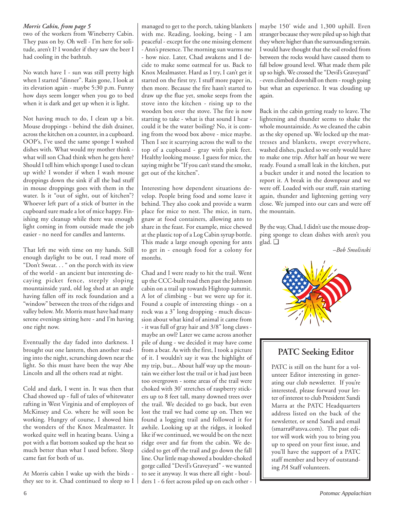## *Morris Cabin, from page 5*

two of the workers from Wineberry Cabin. They pass on by. Oh well - I'm here for solitude, aren't I? I wonder if they saw the beer I had cooling in the bathtub.

No watch have I - sun was still pretty high when I started "dinner". Rain gone, I look at its elevation again - maybe 5:30 p.m. Funny how days seem longer when you go to bed when it is dark and get up when it is light.

Not having much to do, I clean up a bit. Mouse droppings - behind the dish drainer, across the kitchen on a counter, in a cupboard. OOP's, I've used the same sponge I washed dishes with. What would my mother think what will son Chad think when he gets here? Should I tell him which sponge I used to clean up with? I wonder if when I wash mouse droppings down the sink if all the bad stuff in mouse droppings goes with them in the water. Is it "out of sight, out of kitchen"? Whoever left part of a stick of butter in the cupboard sure made a lot of mice happy. Finishing my cleanup while there was enough light coming in from outside made the job easier - no need for candles and lanterns.

That left me with time on my hands. Still enough daylight to be out, I read more of "Don't Sweat. . . " on the porch with its view of the world - an ancient but interesting decaying picket fence, steeply sloping mountainside yard, old log shed at an angle having fallen off its rock foundation and a "window" between the trees of the ridges and valley below. Mr. Morris must have had many serene evenings sitting here - and I'm having one right now.

Eventually the day faded into darkness. I brought out one lantern, then another reading into the night, scrunching down near the light. So this must have been the way Abe Lincoln and all the others read at night.

Cold and dark, I went in. It was then that Chad showed up - full of tales of whitewater rafting in West Virginia and of employees of McKinsey and Co. where he will soon be working. Hungry of course, I showed him the wonders of the Knox Mealmaster. It worked quite well in heating beans. Using a pot with a flat bottom soaked up the heat so much better than what I used before. Sleep came fast for both of us.

At Morris cabin I wake up with the birds they see to it. Chad continued to sleep so I managed to get to the porch, taking blankets with me. Reading, looking, being - I am peaceful - except for the one missing element - Ann's presence. The morning sun warms me - how nice. Later, Chad awakens and I decide to make some oatmeal for us. Back to Knox Mealmaster. Hard as I try, I can't get it started on the first try. I stuff more paper in, then more. Because the fire hasn't started to draw up the flue yet, smoke seeps from the stove into the kitchen - rising up to the wooden box over the stove. The fire is now starting to take - what is that sound I hear could it be the water boiling? No, it is coming from the wood box above - mice maybe. Then I see it scurrying across the wall to the top of a cupboard - gray with pink feet. Healthy looking mouse. I guess for mice, the saying might be "If you can't stand the smoke, get out of the kitchen".

Interesting how dependent situations develop. People bring food and some leave it behind. They also cook and provide a warm place for mice to nest. The mice, in turn, gnaw at food containers, allowing ants to share in the feast. For example, mice chewed at the plastic top of a Log Cabin syrup bottle. This made a large enough opening for ants to get in - enough food for a colony for months.

Chad and I were ready to hit the trail. Went up the CCC-built road then past the Johnson cabin on a trail up towards Hightop summit. A lot of climbing - but we were up for it. Found a couple of interesting things - on a rock was a 3" long dropping - much discussion about what kind of animal it came from - it was full of gray hair and 3/8" long claws maybe an owl? Later we came across another pile of dung - we decided it may have come from a bear. As with the first, I took a picture of it. I wouldn't say it was the highlight of my trip, but... About half way up the mountain we either lost the trail or it had just been too overgrown - some areas of the trail were choked with 30' stretches of raspberry stickers up to 8 feet tall, many downed trees over the trail. We decided to go back, but even lost the trail we had come up on. Then we found a logging trail and followed it for awhile. Looking up at the ridges, it looked like if we continued, we would be on the next ridge over and far from the cabin. We decided to get off the trail and go down the fall line. Our little map showed a boulder-choked gorge called "Devil's Graveyard" - we wanted to see it anyway. It was there all right - boulders 1 - 6 feet across piled up on each other -

maybe 150' wide and 1,300 uphill. Even stranger because they were piled up so high that they where higher than the surrounding terrain. I would have thought that the soil eroded from between the rocks would have caused them to fall below ground level. What made them pile up so high. We crossed the "Devil's Graveyard" - even climbed downhill on them - rough going but what an experience. It was clouding up again.

Back in the cabin getting ready to leave. The lightening and thunder seems to shake the whole mountainside. As we cleaned the cabin as the sky opened up. We locked up the mattresses and blankets, swept everywhere, washed dishes, packed so we only would have to make one trip. After half an hour we were ready. Found a small leak in the kitchen, put a bucket under it and noted the location to report it. A break in the downpour and we were off. Loaded with our stuff, rain starting again, thunder and lightening getting very close. We jumped into our cars and were off the mountain.

By the way, Chad, I didn't use the mouse dropping sponge to clean dishes with aren't you glad. ❑

*–Bob Smolinski*



## **PATC Seeking Editor**

PATC is still on the hunt for a volunteer Editor interesting in generating our club newsletter. If you're interested, please forward your letter of interest to club President Sandi Marra at the PATC Headquarters address listed on the back of the newsletter, or send Sandi and email (smarra@atsva.com). The past editor will work with you to bring you up to speed on your first issue, and you'll have the support of a PATC staff member and bevy of outstanding *PA* Staff volunteers.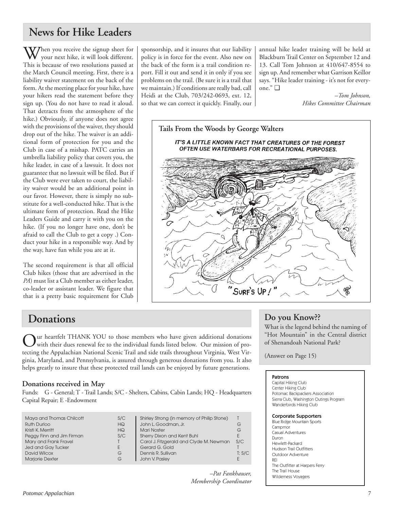## **News for Hike Leaders**

W/hen you receive the signup sheet for your next hike, it will look different. This is because of two resolutions passed at the March Council meeting. First, there is a liability waiver statement on the back of the form. At the meeting place for your hike, have your hikers read the statement before they sign up. (You do not have to read it aloud. That detracts from the atmosphere of the hike.) Obviously, if anyone does not agree with the provisions of the waiver, they should drop out of the hike. The waiver is an additional form of protection for you and the Club in case of a mishap. PATC carries an umbrella liability policy that covers you, the hike leader, in case of a lawsuit. It does not guarantee that no lawsuit will be filed. But if the Club were ever taken to court, the liability waiver would be an additional point in our favor. However, there is simply no substitute for a well-conducted hike. That is the ultimate form of protection. Read the Hike Leaders Guide and carry it with you on the hike. (If you no longer have one, don't be afraid to call the Club to get a copy .) Conduct your hike in a responsible way. And by the way, have fun while you are at it.

The second requirement is that all official Club hikes (those that are advertised in the *PA*) must list a Club member as either leader, co-leader or assistant leader. We figure that that is a pretty basic requirement for Club sponsorship, and it insures that our liability policy is in force for the event. Also new on the back of the form is a trail condition report. Fill it out and send it in only if you see problems on the trail. (Be sure it is a trail that we maintain.) If conditions are really bad, call Heidi at the Club, 703/242-0693, ext. 12, so that we can correct it quickly. Finally, our annual hike leader training will be held at Blackburn Trail Center on September 12 and 13. Call Tom Johnson at 410/647-8554 to sign up. And remember what Garrison Keillor says. "Hike leader training - it's not for everyone." ❑

> *–Tom Johnson, Hikes Committee Chairman*



## **Donations**

Uur heartfelt THANK YOU to those members who have given additional donations with their dues renewal fee to the individual funds listed below. Our mission of protecting the Appalachian National Scenic Trail and side trails throughout Virginia, West Virginia, Maryland, and Pennsylvania, is assured through generous donations from you. It also helps greatly to insure that these protected trail lands can be enjoyed by future generations.

## **Donations received in May**

Funds: G - General; T - Trail Lands; S/C - Shelters, Cabins, Cabin Lands; HQ - Headquarters Capital Repair; E -Endowment

| Maya and Thomas Chilcott<br><b>Ruth Durloo</b><br>Kristi K. Merritt<br>Peggy Finn and Jim Firman<br>Mary and Frank Fravel<br>Jed and Gay Tucker<br>David Wilcox<br><b>Marjorie Dexter</b> | S/C<br>HG<br>HQ<br>S/C<br>E.<br>G<br>G | Shirley Strong (in memory of Philip Stone)<br>John L. Goodman, Jr.<br><b>Mari Noster</b><br>Sherry Dixon and Kent Buhl<br>Carol J. Fitzgerald and Clyde M. Newman<br>Gerard G. Gold<br>Dennis R. Sullivan<br>John V. Paslev | G<br>G<br>S/C<br>T: S/C |
|-------------------------------------------------------------------------------------------------------------------------------------------------------------------------------------------|----------------------------------------|-----------------------------------------------------------------------------------------------------------------------------------------------------------------------------------------------------------------------------|-------------------------|
|-------------------------------------------------------------------------------------------------------------------------------------------------------------------------------------------|----------------------------------------|-----------------------------------------------------------------------------------------------------------------------------------------------------------------------------------------------------------------------------|-------------------------|

*–Pat Fankhauser, Membership Coordinator*

## **Do you Know??**

What is the legend behind the naming of "Hot Mountain" in the Central district of Shenandoah National Park?

(Answer on Page 15)

## Patrons

Capital Hiking Club Center Hiking Club Potomac Backpackers Association Sierra Club, Washington Outings Program Wanderbirds Hiking Club

## Corporate Supporters

Blue Ridge Mountain Sports Campmor Casual Adventures Duron Hewlett-Packard Hudson Trail Outfitters Outdoor Adventure REI The Outfitter at Harpers Ferry The Trail House Wilderness Voyagers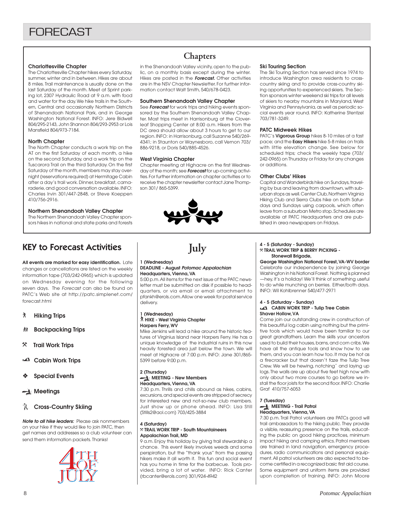## **Charlottesville Chapter**

The Charlottesville Chapter hikes every Saturday, summer, winter and in between. Hikes are about 8 miles. Trail maintenance is usually done on the last Saturday of the month. Meet at Sprint parking lot, 2307 Hydraulic Road at 9 a.m. with food and water for the day. We hike trails in the Southern, Central and occasionally Northern Districts of Shenandoah National Park, and in George Washington National Forest. INFO: Jere Bidwell 804/295-2143, John Shannon 804/293-2953 or Lois Mansfield 804/973-7184.

## **North Chapter**

The North Chapter conducts a work trip on the AT on the first Saturday of each month, a hike on the second Saturday, and a work trip on the Tuscarora Trail on the third Saturday. On the first Saturday of the month, members may stay overnight (reservations required) at Hermitage Cabin after a day's trail work. Dinner, breakfast, camaraderie, and good conversation available. INFO: Charles Irvin 301/447-2848, or Steve Koeppen 410/756-2916.

## **Northern Shenandoah Valley Chapter**

The Northern Shenandoah Valley Chapter sponsors hikes in national and state parks and forests

## KEY to Forecast Activities

**All events are marked for easy identification.** Late changes or cancellations are listed on the weekly information tape (703/242-0965) which is updated on Wednesday evening for the following seven days. The Forecast can also be found on PATC's Web site at http://patc.simplenet.com/ forecast.html

- ` **Hiking Trips**
- **然 Backpacking Trips**
- } **Trail Work Trips**
- **Cabin Work Trips**
- ❖ **Special Events**
- **Meetings**

## **R** Cross-Country Skiing

**Note to all hike leaders:** Please ask nonmembers on your hike if they would like to join PATC, then get names and addresses so a club volunteer can send them information packets. Thanks!



## **Chapters**

in the Shenandoah Valley vicinity, open to the public, on a monthly basis except during the winter. Hikes are posted in the **Forecast.** Other activities are in the NSV Chapter Newsletter. For further information contact Walt Smith, 540/678-0423.

### **Southern Shenandoah Valley Chapter**

See **Forecast** for work trips and hiking events sponsored by the Southern Shenandoah Valley Chapter. Most trips meet in Harrisonburg at the Cloverleaf Shopping Center at 8:00 a.m. Hikers from the DC area should allow about 3 hours to get to our region. INFO: in Harrisonburg, call Suzanne 540/269- 4341; in Staunton or Waynesboro, call Vernon 703/ 886-9218, or Doris 540/885-4526.

### **West Virginia Chapter**

**1 (Wednesday)**

delivery.

**1 (Wednesday)**

**Harpers Ferry, WV**

5399 before 9:00 p.m.

**2 (Thursday)**

**4 (Saturday)**

**Appalachian Trail, MD**

**Headquarters, Vienna, VA**

` **HIKE - West Virginia Chapter**

**MEETING - New Members Headquarters, Vienna, VA**

(Stills2@aol.com) 703/425-3884

} **TRAIL WORK TRIP - South Mountaineers**

(rbcanter@erols.com) 301/924-4942

Chapter meeting at Highacre on the first Wednesday of the month; see **Forecast** for up-coming activities. For further information on chapter activities or to receive the chapter newsletter contact Jane Thompson 301/ 865-5399.



**July**

5:00 p.m. All items for the next issue of the PATC newsletter must be submitted on disk if possible to headquarters, or via email or email attachment to pfankh@erols.com. Allow one week for postal service

Mike Jenkins will lead a hike around the historic features of Virginius Island near Harpers Ferry. He has a unique knowledge of the industrial ruins in this now heavily forested area just below the town. We will meet at Highacre at 7:00 p.m. INFO: Jane 301/865-

7:30 p.m. Thrills and chills abound as hikes, cabins, excursions, and special events are stripped of secrecy for interested new and not-so-new club members. Just show up or phone ahead. INFO: Lisa Still

9 a.m. Enjoy this holiday by giving trail stewardship a chance. This event likely involves weeds and some perspiration, but the "thank yous" from the passing hikers make it all worth it. This fun and social event has you home in time for the barbecue. Tools provided, bring a lot of water. INFO: Rick Canter

**DEADLINE - August Potomac Appalachian**

### **Ski Touring Section**

The Ski Touring Section has served since 1974 to introduce Washington area residents to crosscountry skiing and to provide cross-country skiing opportunities to experienced skiers. The Section sponsors winter weekend ski trips for all levels of skiers to nearby mountains in Maryland, West Virginia and Pennsylvania, as well as periodic social events year round. INFO: Katherine Stentzel 703/781-3249.

### **PATC Midweek Hikes**

PATC's **Vigorous Group** hikes 8-10 miles at a fast pace; and the **Easy Hikers** hike 5-8 miles on trails with little elevation change. See below for scheduled trips; check the weekly tape (703/ 242-0965) on Thursday or Friday for any changes or additions.

#### **Other Clubs' Hikes**

Capital and Wanderbirds hike on Sundays, traveling by bus and leaving from downtown, with suburban stops as well. Center Club, Northern Virginia Hiking Club and Sierra Clubs hike on both Saturdays and Sundays using carpools, which often leave from a suburban Metro stop. Schedules are available at PATC Headquarters and are published in area newspapers on Fridays.

#### **4 - 5 (Saturday - Sunday)** } **TRAIL WORK TRIP & BERRY PICKING - Stonewall Brigade,**

**George Washington National Forest, VA-WV border** Celebrate our independence by joining George Washington in his National Forest. Nothing is planned —hey, it's a holiday! We'll think of something useful to do while munching on berries. Either/both days. INFO: Wil Kohlbrenner 540/477-2971

#### **4 - 5 (Saturday - Sunday) CABIN WORK TRIP - Tulip Tree Cabin Shaver Hollow, VA**

Come join our outstanding crew in construction of this beautiful log cabin using nothing but the primitive tools which would have been familiar to our great grandfathers. Learn the skills your ancestors used to build their houses, barns, and corn cribs. We have all the antique tools and know how to use them, and you can learn how too. It may be hot as a firecracker but that doesn't faze the Tulip Tree Crew. We will be hewing, notchingˇ and laying up logs. The walls are up about five feet high now with only about two more courses to go before we install the floor joists for the second floor. INFO: Charlie Graf 410/757-6053

#### **7 (Tuesday) MEETING - Trail Patrol Headquarters, Vienna, VA**

7:30 p.m. Trail Patrol volunteers are PATCs good will trail ambassadors to the hiking public. They provide a visible, reassuring presence on the trails, educating the public on good hiking practices, minimum impact hiking and camping ethics. Patrol members are trained in land navigation, emergency procedures, radio communications and personal equipment. All patrol volunteers are also expected to become certified in a recognized basic first aid course. Some equipment and uniform items are provided upon completion of training. INFO: John Moore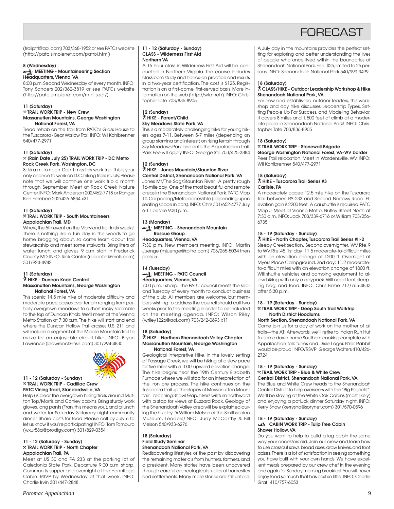## **FORFCAST**

(trailptrl@aol.com) 703/368-1952 or see PATCs website (http://patc.simplenet.com/patrol.html)

### **8 (Wednesday)**

## **MEETING - Mountaineering Section Headquarters, Vienna, VA**

8:00 p.m. Second Wednesday of every month. INFO: Tony Sanders 202/362-3819 or see PATCs website (http://patc.simplenet.com/mtn\_sect/)

#### **11 (Saturday)**

#### } **TRAIL WORK TRIP - New Crew Massanutten Mountains, George Washington National Forest, VA**

Tread rehab on the trail from PATC's Glass House to the Tuscarora - Bear Wallow Trail. INFO: Wil Kohlbrenner 540/477-2971

#### **11 (Saturday)**

## } **(Rain Date July 25) TRAIL WORK TRIP - DC Metro Rock Creek Park, Washington, DC**

8:15 a.m. to noon. Don't miss this work trip. This is your only chance to work on D.C. hiking trails in July. Please note that we will continue one work trip a month through September. Meet at Rock Creek Nature Center. INFO: Mark Anderson 202/462-7718 or Ranger Ken Ferebee 202/426-6834 x31

## **11 (Saturday)**

### } **TRAIL WORK TRIP - South Mountaineers Appalachian Trail, MD**

Whew, the 5th event on the Maryland trail in six weeks! There is nothing like a fun day in the woods to go home bragging about, so come learn about trail stewardship and meet some stalwarts. Bring liters of water, lunch, and gloves. 9 a.m. start in Frederick County, MD. INFO: Rick Canter (rbcanter@erols.com) 301/924-4942

## **11 (Saturday)** ` **HIKE - Duncan Knob Central**

## **Massanutten Mountains, George Washington National Forest, VA**

This scenic 14.5 mile hike of moderate difficulty and moderate pace passes over terrain ranging from partially overgrown meadows to a short rocky scramble to the top of Duncan Knob. We'll meet at the Vienna Metro Station at 7:30 a.m. The hike will start and end where the Duncan Hollow Trail crosses U.S. 211 and will include a segment of the Middle Mountain Trail to make for an enjoyable circuit hike. INFO: Bryon Lawrence (blawrenc@msn.com) 301/294-4830



#### **11 - 12 (Saturday - Sunday)** } **TRAIL WORK TRIP - Cadillac Crew PATC Vining Tract, Standardsville, VA**

Help us clear the overgrown hiking trails around Mutton Top/Morris and Conley cabins. Bring sturdy work gloves, long pants (Fran, this means you), and a lunch and water for Saturday. Saturday night community dinner. Share costs for food. Please call by July 6 to let us know if you're participating! INFO: Tom Tamburo (wxur58a@prodigy.com) 301/829-0354

### **11 - 12 (Saturday - Sunday)** } **TRAIL WORK TRIP - North Chapter Appalachian Trail, PA**

Meet at US 30 and PA 233 at the parking lot of Caledonia State Park. Departure 9:00 a.m. sharp. Community supper and overnight at the Hermitage Cabin. RSVP by Wednesday of that week. INFO: Charlie Irvin 301/447-2848

#### **11 - 12 (Saturday - Sunday) CLASS - Wilderness First Aid Northern VA**

A 16 hour class in Wilderness First Aid will be conducted in Northern Virginia. The course includes classroom study and hands-on practice and results in a two-year certification. The cost is \$125. Registration is on a first-come, first-served basis. More information on the web (http://wfa.net/). INFO: Christopher Tate 703/836-8905

### **12 (Sunday)** ` **HIKE - Parent/Child Sky Meadows State Park, VA**

This is a moderately challenging hike for young hikers ages 7-11. Between 5-7 miles (depending on group stamina and interest) on rising terrain through Sky Meadows Park and onto the Appalachian Trail. Park Fee will apply. INFO: George Still 703/425-3884

## **12 (Sunday)**

### ` **HIKE - Jones Mountain/Staunton River Central District, Shenandoah National Park, VA**

Jones Mt/The Sag/Staunton River. A pretty rough 16-mile day. One of the most beautiful and remote areas in the Shenandoah National Park. PATC Map 10. Carpooling/Metro accessible (depending upon seating space in cars). INFO: Chris 301/652-4777 July 6-11 before 9:30 p.m.

## **13 (Monday)**

## **MEETING - Shenandoah Mountain Rescue Group**

## **Headquarters, Vienna, VA**

7:30 p.m. New members meeting. INFO: Martin Juenge (mjuenge@rpihq.com) 703/255-5034 then press 5

### **14 (Tuesday) MEETING - PATC Council Headquarters, Vienna, VA**

7:00 p.m. - sharp. The PATC council meets the second Tuesday of every month to conduct business of the club. All members are welcome, but members wishing to address the council should call two weeks prior to the meeting in order to be included on the meeting agenda. INFO: Wilson Riley (wriley1226@aol.com) 703/242-0693 x11

#### **18 (Saturday)** ` **HIKE - Northern Shenandoah Valley Chapter Massanutten Mountain, George Washington National Forest, VA**

Geological Interpretive Hike. In the lovely setting of Passage Creek, we will be hiking at a slow pace for five miles with a 1000' upward elevation change. The hike begins near the 19th Century Elizabeth Furnace where we will stop for an interpretation of the iron ore process. The hike continues on the Tuscarora Trail up the slopes of Massanutten Mountain; reaching Shawl Gap, hikers will turn northward with a stop for views at Buzzard Rock. Geology of the Shenandoah Valley area will be explained during the hike by Dr.William Melson of the Smithsonian Museum. Leaders/INFO: Judy McCarthy & Bill Melson 540/933-6276

### **18 (Saturday) Field Study Seminar Shenandoah National Park, VA**

Rediscovering lifestyles of the past by discovering the remaining materials from hunters, farmers, and a president. Many stories have been uncovered through careful archeological studies of homesites and settlements. Many more stories are still untold.

A July day in the mountains provides the perfect setting for exploring and better understanding the lives of people who once lived within the boundaries of Shenandoah National Park. Fee: \$25, limited to 25 persons. INFO: Shenandoah National Park 540/999-3499

### **18 (Saturday)**

### ` **CLASS/HIKE - Outdoor Leadership Workshop & Hike Shenandoah National Park, VA**

For new and established outdoor leaders, this workshop and day hike discusses Leadership Types, Setting People Up For Success, and Modeling Behavior. It covers 8 miles and 1,500 feet of climb at a moderate pace in Shenandoah National Park! INFO: Christopher Tate 703/836-8905

#### **18 (Saturday)**

## } **TRAIL WORK TRIP - Stonewall Brigade**

**George Washington National Forest, VA-WV border** Peer Trail relocation. Meet in Wardensville, WV. INFO: Wil Kohlbrenner 540/477-2971

## **18 (Saturday)**

#### ` **HIKE - Tuscarora Trail Series #3 Carlisle, PA**

A moderately paced 12.5 mile hike on the Tuscarora Trail between PA-233 and Second Narrows Road. Elevation gain is 2200 feet. A car shuttle is required. PATC Map J. Meet at Vienna Metro, Nutley Street North at 7:30 a.m. INFO: Jack 703/339-6716 or William 703/256- 6735

## **18 - 19 (Saturday - Sunday)**

` **HIKE - North Chapter, Tuscarora Trail Series #II-2** Sleepy Creek section. Second overnighter. WV Rte. 9 to WV Rte. 45. 1st day: 11.5 moderate-to-difficult miles with an elevation change of 1200 ft. Overnight at Myers Place Campground. 2nd day: 11.2 moderate-

to-difficult miles with an elevation change of 1000 ft. Will shuttle vehicles and camping equipment to allow hiking with only a daypack. Will need tent, sleeping bag, and food. INFO: Chris Firme 717/765-4833 after 5:30 p.m.

### **18 - 19 (Saturday - Sunday)**

#### } **TRAIL WORK TRIP - Deep South Trail Worktrip North District Hoodlums**

#### **North Section, Shenandoah National Park, VA**

Come join us for a day of work on the mother of all trails—the AT! Afterwards, we'll retire to Indian Run Hut for some down-home Southern cooking complete with Appalachian folk tunes and Dixie Lager. B'rer Rabbit would be proud! INFO/RSVP: George Walters 410/426- 2724

#### **18 - 19 (Saturday - Sunday)** } **TRAIL WORK TRIP - Blue & White Crew Central District, Shenandoah National Park, VA**

The Blue and White Crew heads to the Shenandoah Central District to help overseers with the "Big Projects". We'll be staying at the White Oak Cabins (most likely) and enjoying a potluck dinner Saturday night. INFO: Kerry Snow (kerrysno@sprynet.com) 301/570-0596

#### **18 - 19 (Saturday - Sunday) CABIN WORK TRIP - Tulip Tree Cabin Shaver Hollow, VA**

Do you want to help to build a log cabin the same way your ancestors did. Join our crew and learn how to use crosscut saws, broad axes, draw knives, and foot adzes. There is a lot of satisfaction in seeing something you have built with your own hands. We have excellent meals prepared by our crew chef in the evening and again for Sunday morning breakfast. You will never enjoy food so much that has cost so little. INFO: Charlie Graf 410/757-6053

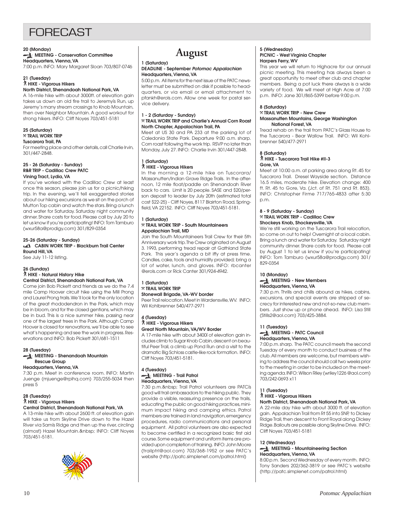## **FORFCAST**

## **20 (Monday)**

## **MEETING - Conservation Committee Headquarters, Vienna, VA**

7:00 p.m. INFO: Mary Margaret Sloan 703/807-0746

#### **21 (Tuesday)** ` **HIKE - Vigorous Hikers North District, Shenandoah National Park, VA**

A 16-mile hike with about 3000ft. of elevation gain

takes us down an old fire trail to Jeremyís Run, up Jeremy's many stream crossings to Knob Mountain, then over Neighbor Mountain. A good workout for strong hikers. INFO: Cliff Noyes 703/451-5181

#### **25 (Saturday)** } **TRAIL WORK TRIP Tuscarora Trail, PA**

For meeting place and other details, call Charlie Irvin, 301/447-2848.

### **25 - 26 (Saturday - Sunday) R&R TRIP - Cadillac Crew PATC Vining Tract, Lydia, VA**

If you've worked with the Cadillac Crew at least once this season, please join us for a picnic/hiking trip. In the evening, we'll tell exaggerated stories about our hiking excursions as we sit on the porch of Mutton Top cabin and watch the stars. Bring a lunch and water for Saturday. Saturday night community dinner. Share costs for food. Please call by July 20 to let us know if you're participating! INFO: Tom Tamburo (wxur58a@prodigy.com) 301/829-0354

## **25-26 (Saturday - Sunday) CABIN WORK TRIP - Blackburn Trail Center Round Hill, VA**

See July 11-12 listing.

#### **26 (Sunday)** ` **HIKE - Natural History Hike Central District, Shenandoah National Park, VA**

Come join Bob Pickett and friends as we do the 7.4 mile Camp Hoover circuit hike using the Mill Prong and Laurel Prong trails. We'll look for the only location of the great rhododendron in the Park, which may be in bloom, and for the closed gentians, which may be in bud. This is a nice summer hike, passing near one of the largest trees in the Park. Although Camp Hoover is closed for renovations, we'll be able to see what's happening and see the work in progress. Reservations and INFO: Bob Pickett 301/681-1511

## **28 (Tuesday)**

### **MEETING - Shenandoah Mountain Rescue Group**

## **Headquarters, Vienna, VA**

7:30 p.m. Meet in conference room. INFO: Martin Juenge (mjuenge@rpihq.com) 703/255-5034 then press 5

#### **28 (Tuesday)** ` **HIKE - Vigorous Hikers Central District, Shenandoah National Park, VA**

A 13-mile hike with about 2600 ft. of elevation gain will take us from Skyline Drive down to the Hazel River via Samís Ridge and then up the river, circling (almost) Hazel Mountain. INFO: Cliff Noyes 703/451-5181.



## **August**

## **1 (Saturday)**

### **DEADLINE - September Potomac Appalachian Headquarters, Vienna, VA**

5:00 p.m. All items for the next issue of the PATC newsletter must be submitted on disk if possible to headquarters, or via email or email attachment to pfankh@erols.com. Allow one week for postal service delivery.

## **1 - 2 (Saturday - Sunday)**

### } **TRAIL WORK TRIP and Charlie's Annual Corn Roast North Chapter, Appalachian Trail, PA**

Meet at US 30 and PA 233 at the parking lot of Caledonia State Park. Departure 9:00 a.m. sharp. Corn roast following the work trip. RSVP no later than Monday, July 27. INFO: Charlie Irvin 301/447-2848.

## **1 (Saturday)**

` **HIKE - Vigorous Hikers**

In the morning a 12-mile hike on Tuscorara/ Massanutten/Indian Grave Ridge Trails. In the afternoon, 12 mile float/paddle on Shenandoah River back to cars. Limit is 20 people. SASE and \$20/person deposit to leader by July 20th (estimated total cost \$22-25) - Cliff Noyes, 8117 Blairton Road, Springfield, VA 22152. INFO: Cliff Noyes 703/451-5181.

#### **1 (Saturday)** } **TRAIL WORK TRIP - South Mountaineers Appalachian Trail, MD**

Join the South Mountaineers Trail Crew for their 5th Anniversary work trip. The Crew originated on August 3. 1993, performing tread repair at Gathland State Park. This year's agenda a bit iffy at press time. Candles, cake, tools and humidity provided; bring a lot of water, lunch, and gloves. INFO: rbcanter @erols.com or Rick Canter 301/924-4942.

### **1 (Saturday)** } **TRAIL WORK TRIP Stonewall Brigade, VA-WV border**

Peer Trail relocation. Meet in Wardensville, WV. INFO: Wil Kohlbrenner 540/477-2971

### **4 (Tuesday)** ` **HIKE - Vigorous Hikers Great North Mountain, VA/WV Border**

A 17-mile hike with about 3400í of elevation gain includes climb to Sugar Knob Cabin, descent on beautiful Peer Trail, a climb up Pond Run and a visit to the dramatic Big Schloss castle-like rock formation. INFO: Cliff Noyes 703/451-5181.

### **4 (Tuesday) MEETING - Trail Patrol Headquarters, Vienna, VA**

7:30 p.m. Trail Patrol volunteers are PATCís good will trail ambassadors to the hiking public. They provide a visible, reassuring presence on the trails, educating the public on good hiking practices, minimum impact hiking and camping ethics. Patrol members are trained in land navigation, emergency procedures, radio communications and personal equipment. All patrol volunteers are also expected to become certified in a recognized basic first aid course. Some equipment and uniform items are provided upon completion of training. INFO: John Moore (trailptrl@aol.com) 703/368-1952 or see PATC's website (http://patc.simplenet.com/patrol.html)

### **5 (Wednesday) PICNIC - West Virginia Chapter Harpers Ferry, WV**

This year we will return to Highacre for our annual picnic meeting. This meeting has always been a great opportunity to meet other club and chapter members. Being a pot luck there always is a wide variety of food. We will meet at High Acre at 7:00 p.m. INFO: Jane 301/865-5399 before 9:00 p.m.

## **8 (Saturday)**

#### } **TRAIL WORK TRIP - New Crew Massanutten Mountains, George Washington National Forest, VA**

Tread rehab on the trail from PATC's Glass House to the Tuscarora - Bear Wallow Trail. INFO: Wil Kohlbrenner 540/477-2971

## **8 (Saturday)**

#### ` **HIKE - Tuscarora Trail Hike #II-3 Gore, VA**

Meet at 10:00 a.m. at parking area along Rt. 45 for Tuscarora Trail. Dresel Wayside section. Distance 16.5 miles, moderate hike. Elevation change: 400 ft. Rt. 45 to Gore, Va. (Jct. of Rt. 751 and Rt. 853). INFO: Christopher Firme 717/765-4833 after 5:30 p.m.

#### **8 - 9 (Saturday - Sunday)** } **TRAIL WORK TRIP - Cadillac Crew**

## **Shockeys Knob, Shockeysville, VA**

We're still working on the Tuscarora Trail relocation, so come on out to help! Overnight at a local cabin. Bring a lunch and water for Saturday. Saturday night community dinner. Share costs for food. Please call by August 1 to let us know if you're participating! INFO: Tom Tamburo (wxur58a@prodigy.com) 301/ 829-0354

### **10 (Monday) MEETING - New Members Headquarters, Vienna, VA**

7:30 p.m. Thrills and chills abound as hikes, cabins, excursions, and special events are stripped of secrecy for interested new and not-so-new club members. Just show up or phone ahead. INFO: Lisa Still (Stills2@aol.com) 703/425-3884.

## **11 (Tuesday) MEETING - PATC Council**

## **Headquarters, Vienna, VA**

7:00 p.m. sharp. The PATC council meets the second Tuesday of every month to conduct business of the club. All members are welcome, but members wishing to address the council should call two weeks prior to the meeting in order to be included on the meeting agenda. INFO: Wilson Riley (wriley1226 @aol.com) 703/242-0693 x11

## **11 (Tuesday)** ` **HIKE - Vigorous Hikers**

## **North District, Shenandoah National Park, VA**

A 22-mile day hike with about 3000 ft. of elevation gain. Appalachian Trail from Rt 55 into SNP, to Dickey Ridge Trail, then descent to Front Royal along Dickey Ridge. Bailouts are possible along Skyline Drive. INFO: Cliff Noyes 703/451-5181

## **12 (Wednesday)**

## **MEETING - Mountaineering Section Headquarters, Vienna, VA**

8:00 p.m. Second Wednesday of every month. INFO: Tony Sanders 202/362-3819 or see PATC's website (http://patc.simplenet.com/patrol.html)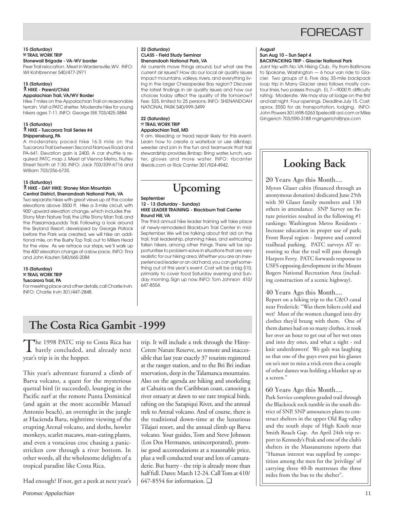## **FORFCAST**

**15 (Saturday)** } **TRAIL WORK TRIP Stonewall Brigade - VA-WV border**

Peer Trail relocation. Meet in Wardensville, WV. INFO: Wil Kohlbrenner 540/477-2971

#### **15 (Saturday)** ` **HIKE - Parent/Child Appalachian Trail, VA/WV Border**

Hike 7 miles on the Appalachian Trail on reasonable terrain. Visit a PATC shelter. Moderate hike for young hikers ages 7-11. INFO: George Still 703/425-3884

#### **15 (Saturday)** ` **HIKE - Tuscarora Trail Series #4 Shippensburg, PA**

A moderately paced hike 16.5 mile on the Tuscarora Trail between Second Narrows Road and PA-641. Elevation gain is 2400. A car shuttle is required. PATC map J. Meet at Vienna Metro, Nutley Street North at 7:30. INFO: Jack 703/339-6716 and William 703/256-6735.

## **15 (Saturday)**

#### ` **HIKE - DAY HIKE: Stoney Man Mountain Central District, Shenandoah National Park, VA**

Two separate hikes with great views up at the cooler elevations above 3500 ft. Hike a 3-mile circuit, with 900' upward elevation change, which includes the Stony Man Nature Trail, the Little Stony Man Trail, and the Passamaquoddy Trail. Following a look around the Skyland Resort, developed by George Pollock before the Park was created, we will hike an additional mile, on the Bushy Top Trail, out to Millers Head for the view. As we retrace our steps, we'll walk up the 400' elevation change at a slow pace. INFO: Tina and John Kauten 540/665-2084

## **15 (Saturday)** } **TRAIL WORK TRIP Tuscarora Trail, PA**

For meeting place and other details, call Charlie Irvin. INFO: Charlie Irvin 301/447-2848.

### **22 (Saturday) CLASS - Field Study Seminar Shenandoah National Park, VA**

Air currents move things around, but what are the current air issues? How do our local air quality issues impact mountains, valleys, rivers, and everything living in the larger Chesapeake Bay region? Discover the latest findings in air quality issues and how our choices today affect the quality of life tomorrow? Fee: \$25, limited to 25 persons. INFO: SHENANDOAH NATIONAL PARK 540/999-3499

### **22 (Saturday)** } **TRAIL WORK TRIP Appalachian Trail, MD**

9 am. Weeding or tread repair likely for this event. Learn how to create a waterbar or use a weeder and join in the fun and teamwork that trail stewardship provides. Bring water, lunch, water, gloves and more water. INFO: rbcanter @erols.com or Rick Canter 301/924-4942.

## **Upcoming**

#### **September 12 - 13 (Saturday - Sunday) HIKE LEADER TRAINING - Blackburn Trail Center Round Hill, VA**

The third annual hike leader training will take place at newly-remodeled Blackburn Trail Center in mid-September. We will be talking about first aid on the trail, trail leadership, planning hikes, and extricating fallen hikers, among other things. There will be opportunities to problem-solve in situations that are very realistic for our hiking area. Whether you are an inexperienced leader or an old hand, you can get something out of this year's event. Cost will be a big \$10, primarily to cover food Saturday evening and Sunday morning. Sign up now. INFO: Tom Johnson 410/ 647-8554.

## **The Costa Rica Gambit -1999**

The 1998 PATC trip to Costa Rica has<br>barely concluded, and already next year's trip is in the hopper.

This year's adventure featured a climb of Barva volcano, a quest for the mysterious quetzal bird (it succeeded), lounging in the Pacific surf at the remote Punta Dominical (and again at the more accessible Manuel Antonio beach), an overnight in the jungle at Hacienda Baru, nighttime viewing of the erupting Arenal volcano, and sloths, howler monkeys, scarlet macaws, man-eating plants, and even a voracious croc chasing a panicstricken cow through a river bottom. In other words, all the wholesome delights of a tropical paradise like Costa Rica.

Had enough? If not, get a peek at next year's

trip. It will include a trek through the Hitoy-Cerere Nature Reserve, so remote and inaccessible that last year exactly 37 tourists registered at the ranger station, and to the Bri Bri indian reservation, deep in the Talamanca mountains. Also on the agenda are hiking and snorkeling at Cahuita on the Caribbean coast, canoeing a river estuary at dawn to see rare tropical birds, rafting on the Sarapiqui River, and the annual trek to Arenal volcano. And of course, there is the traditional down-time at the luxurious Tilajari resort, and the annual climb up Barva volcano. Your guides, Tom and Steve Johnson (Los Dos Hermanos, unincorporated), promise good accomodations at a reasonable price, plus a well conducted tour and lots of camaraderie. But hurry - the trip is already more than half full. Dates: March 12-24. Call Tom at 410/ 647-8554 for information. ❑

#### **August Sun Aug 10 – Sun Sept 4 BACKPACKING TRIP - Glacier National Park**

Joint trip with No. VA Hiking Club. Fly from Baltimore to Spokane, Washington — 6 hour van ride to Glacier. Two groups of 6. Five day, 35-mile backpack loop trip in Many Glacier area follows mostly contour lines, two passes though. EL 7—9000 ft. difficulty rating: Moderate. We may stay at lodge on the first and last night. Four openings. Deadline July 15. Cost: aprox. \$550 for air, transportation, lodging. INFO: John Powers 301/698-5263 Speleol@ aol.com or Mike Gingerich 703/590-3188 mgingerich@jnps.com

## **Looking Back**

20 Years Ago this Month....

Myron Glaser cabin (financed through an anonymous donation) dedicated June 25th with 30 Glaser family members and 130 others in attendance. SNP Survey on future priorities resulted in the following #1 rankings: Washington Metro Residents - Increase education in proper use of park; Front Royal region - Improve and control trailhead parking. PATC surveys AT rerouting so that the trail will pass through Harpers Ferry. PATC forwards response to USFS opposing development in the Mount Rogers National Recreation Area (including construction of a scenic highway).

## 40 Years Ago this Month....

Report on a hiking trip to the C&O canal near Frederick: "Was them hikers cold and wet! Most of the women changed into dry clothes they'd brung with them. One of them dames had on so many clothes, it took her over an hour to get out of her wet ones and into dry ones, and what a sight - red knit underdrawers! We gals was laughing so that one of the guys even put his glasses on so's not to miss a trick even tho a couple of other dames was holding a blanket up as a screen."

## 60 Years Ago this Month....

Park Service completes graded trail through the Blackrock rock tumble in the south district of SNP. SNP announces plans to construct shelters in the upper Old Rag valley and the south slope of High Knob near Smith Roach Gap. An April 24th trip report to Kennedy's Peak and one of the club's shelters in the Massanuttens reports that "Human interest was supplied by competition among the men for the 'privilege' of carrying three 40-lb mattresses the three miles from the bus to the shelter".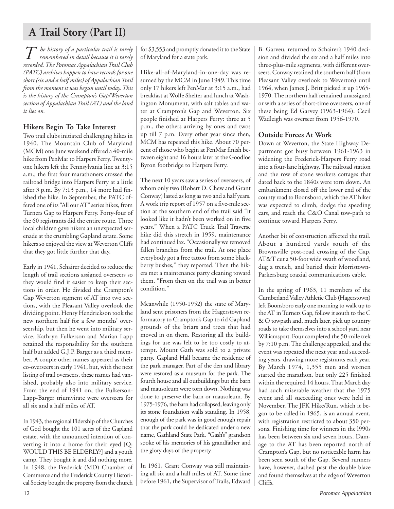## **A Trail Story (Part II)**

*T he history of a particular trail is rarely remembered in detail because it is rarely recorded. The Potomac Appalachian Trail Club (PATC) archives happen to have records for one short (six and a half miles) of Appalachian Trail from the moment it was begun until today. This is the history of the Crampton's Gap/Weverton section of Appalachian Trail (AT) and the land it lies on.*

## **Hikers Begin To Take Interest**

Two trail clubs initiated challenging hikes in 1940. The Mountain Club of Maryland (MCM) one June weekend offered a 40-mile hike from PenMar to Harpers Ferry. Twentyone hikers left the Pennsylvania line at 3:15 a.m.; the first four marathoners crossed the railroad bridge into Harpers Ferry at a little after 3 p.m. By 7:13 p.m., 14 more had finished the hike. In September, the PATC offered one of its "All our AT" series hikes, from Turners Gap to Harpers Ferry. Forty-four of the 60 registrants did the entire route. Three local children gave hikers an unexpected serenade at the crumbling Gapland estate. Some hikers so enjoyed the view at Weverton Cliffs that they got little further that day.

Early in 1941, Schairer decided to reduce the length of trail sections assigned overseers so they would find it easier to keep their sections in order. He divided the Crampton's Gap Weverton segment of AT into two sections, with the Pleasant Valley overlook the dividing point. Henry Hendrickson took the new northern half for a few months' overseership, but then he went into military service. Kathryn Fulkerson and Marian Lapp retained the responsibility for the southern half but added G.J.P. Barger as a third member. A couple other names appeared as their co-overseers in early 1941, but, with the next listing of trail overseers, these names had vanished, probably also into military service. From the end of 1941 on, the Fulkerson-Lapp-Barger triumvirate were overseers for all six and a half miles of AT.

In 1943, the regional Eldership of the Churches of God bought the 101 acres of the Gapland estate, with the announced intention of converting it into a home for their eyed [Q: WOULD THIS BE ELDERLY?] and a youth camp. They bought it and did nothing more. In 1948, the Frederick (MD) Chamber of Commerce and the Frederick County Historical Society bought the property from the church for \$3,553 and promptly donated it to the State of Maryland for a state park.

Hike-all-of-Maryland-in-one-day was resumed by the MCM in June 1949. This time only 17 hikers left PenMar at 3:15 a.m., had breakfast at Wolfe Shelter and lunch at Washington Monument, with salt tables and water at Crampton's Gap and Weverton. Six people finished at Harpers Ferry: three at 5 p.m., the others arriving by ones and twos up till 7 p.m. Every other year since then, MCM has repeated this hike. About 70 percent of those who begin at PenMar finish between eight and 16 hours later at the Goodloe Byron footbridge to Harpers Ferry.

The next 10 years saw a series of overseers, of whom only two (Robert D. Chew and Grant Conway) lasted as long as two and a half years. A work trip report of 1957 on a five-mile section at the southern end of the trail said "it looked like it hadn't been worked on in five years." When a PATC Truck Trail Traverse hike did this stretch in 1959, maintenance had continued lax. "Occasionally we removed fallen branches from the trail. At one place everybody got a free tattoo from some blackberry bushes," they reported. Then the hikers met a maintenance party cleaning toward them. "From then on the trail was in better condition."

Meanwhile (1950-1952) the state of Maryland sent prisoners from the Hagerstown reformatory to Crampton's Gap to rid Gapland grounds of the briars and trees that had moved in on them. Restoring all the buildings for use was felt to be too costly to attempt. Mount Gath was sold to a private party. Gapland Hall became the residence of the park manager. Part of the den and library were restored as a museum for the park. The fourth house and all outbuildings but the barn and mausoleum were torn down. Nothing was done to preserve the barn or mausoleum. By 1975-1976, the barn had collapsed, leaving only its stone foundation walls standing. In 1958, enough of the park was in good enough repair that the park could be dedicated under a new name, Gathland State Park. "Gash's" grandson spoke of his memories of his grandfather and the glory days of the property.

In 1961, Grant Conway was still maintaining all six and a half miles of AT. Some time before 1961, the Supervisor of Trails, Edward B. Garveu, returned to Schairer's 1940 decision and divided the six and a half miles into three-plus-mile segments, with different overseers. Conway retained the southern half (from Pleasant Valley overlook to Weverton) until 1964, when James J. Britt picked it up 1965- 1970. The northern half remained unassigned or with a series of short-time overseers, one of these being Ed Garvey (1963-1964). Cecil Wadleigh was overseer from 1956-1970.

## **Outside Forces At Work**

Down at Weverton, the State Highway Department got busy between 1961-1963 in widening the Frederick-Harpers Ferry road into a four-lane highway. The railroad station and the row of stone workers cottages that dated back to the 1840s were torn down. An embankment closed off the lower end of the county road to Boonsboro, which the AT hiker was expected to climb, dodge the speeding cars, and reach the C&O Canal tow-path to continue toward Harpers Ferry.

Another bit of construction affected the trail. About a hundred yards south of the Brownsville post-road crossing of the Gap, AT&T cut a 50-foot wide swath of woodland, dug a trench, and buried their Morristown-Parkersburg coaxial communications cable.

In the spring of 1963, 11 members of the Cumberland Valley Athletic Club (Hagerstown) left Boonsboro early one morning to walk up to the AT in Turners Gap, follow it south to the C & O towpath and, much later, pick up country roads to take themselves into a school yard near Williamsport. Four completed the 50-mile trek by 7:10 p.m. The challenge appealed, and the event was repeated the next year and succeeding years, drawing more registrants each year. By March 1974, 1,355 men and women started the marathon, but only 225 finished within the required 14 hours. That March day had such miserable weather that the 1975 event and all succeeding ones were held in November. The JFK Hike/Run, which it began to be called in 1965, is an annual event, with registration restricted to about 350 persons. Finishing time for winners in the l990s has been between six and seven hours. Damage to the AT has been reported north of Crampton's Gap, but no noticeable harm has been seen south of the Gap. Several runners have, however, dashed past the double blaze and found themselves at the edge of Weverton Cliffs.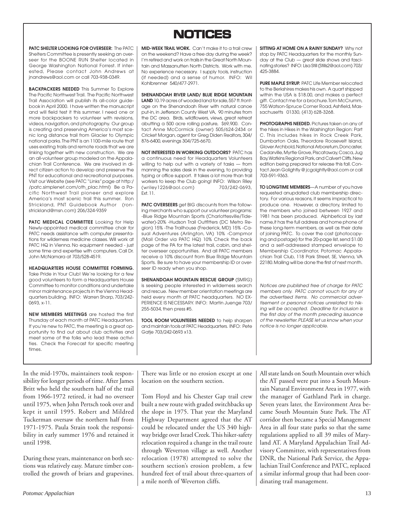## **NOTICES NOTICES**

**PATC SHELTER LOOKING FOR OVERSEER:** The PATC Shelters Committee is presently seeking an overseer for the BOONE RUN Shelter located in George Washington National Forrest. If interested, Please contact John Andrews at jnandrews@aol.com or call 703-938-0349.

**BACKPACKERS NEEDED** This Summer To Explore The Pacific Northwest Trail. The Pacific Northwest Trail Association will publish its all-color guidebook in April 2000. I have written the manuscript and will field test it this summer. I need one or more backpackers to volunteer with revisions, videos, navigation, and photography. Our group is creating and preserving America's most scenic long distance trail from Glacier to Olympic national parks. The PNT is an 1100-mile route that uses existing trails and remote roads that we are linking together with new construction. We are an all-volunteer group modeled on the Appalachian Trail Conference. We are involved in direct citizen action to develop and preserve the PNT for educational and recreational purposes. Visit our Website (see PATC "Links" page at http:/ /patc.simplenet.com/oth\_plac.html) Be a Pacific Northwest Trail pioneer and explore America's most scenic trail this summer. Ron Strickland, PNT Guidebook Author (ronstrickland@msn.com) 206/324-9359

**PATC MEDICAL COMMITTEE** Looking for Help Newly-appointed medical committee chair for PATC needs assistance with computer presentations for wilderness medicine classes. Will work at PATC HQ in Vienna. No equipment needed - just some time and expertise with computers. Call Dr. John McNamara at 703/528-4519.

**HEADQUARTERS HOUSE COMMITTEE FORMING.** Take Pride in Your Club! We're looking for a few good volunteers to form a Headquarters House Committee to monitor conditions and undertake minor maintenance projects in the Vienna Headquarters building. INFO: Warren Sharp, 703/242- 0693, x-11.

**NEW MEMBERS MEETINGS** are hosted the first Thursday of each month at PATC Headquarters. If you're new to PATC, the meeting is a great opportunity to find out about club activities and meet some of the folks who lead these activities. Check the Forecast for specific meeting times.

**MID-WEEK TRAIL WORK.** Can't make it to a trail crew on the weekend? Have a free day during the week? I'm retired and work on trails in the Great North Mountain and Massanutten North Districts. Work with me. No experience necessary. I supply tools, instruction (if needed) and a sense of humor. INFO: Wil Kohlbrenner 540/477-2971.

**SHENANDOAH RIVER LAND/ BLUE RIDGE MOUNTAIN LAND** 10.19 acres of wooded land for sale, 557 ft. frontage on the Shenandoah River with natural canoe put-in, in Jefferson County West VA, 90 minutes from the DC area. Birds, wildflowers, views, great retreat abutting a 500 acre rolling pasture, \$69,900. Contact Anne McCormick (owner) 505/624-2434 or Cricket Morgan, agent for Greg Diden Realtors, 304/ 876-6400, evenings 304/725-6670.

**NOT INTERESTED IN WORKING OUTDOORS?** PATC has a continuous need for Headquarters Volunteers willing to help out with a variety of tasks — from manning the sales desk in the evening, to providing typing or office support. It takes a lot more than trail workers to keep the Club going! INFO: Wilson Riley<br>(wriley1226@aol.com) 703/242-0693. (wriley1226@aol.com) Ext. 11.

**PATC OVERSEERS** get BIG discounts from the following merchants who support our volunteer programs: -Blue Ridge Mountain Sports (Charlottesville/Tidewater)-20% -Hudson Trail Outfitters (DC Metro Region) 15% -The Trailhouse (Frederick, MD) 15% -Casual Adventures (Arlington, VA) 10% -Campmor (Mail Order via PATC HQ) 10% Check the back page of the PA for the latest trail, cabin, and shelter overseer opportunities. And all PATC members receive a 10% discount from Blue Ridge Mountain Sports. Be sure to have your membership ID or overseer ID ready when you shop.

**SHENANDOAH MOUNTAIN RESCUE GROUP** (SMRG) is seeking people interested in wilderness search and rescue. New member orientation meetings are held every month at PATC headquarters. NO EX-PERIENCE IS NECESSARY. INFO: Martin Juenge 703/ 255-5034, then press #5.

**TOOL ROOM VOLUNTEERS NEEDED** to help sharpen and maintain tools at PATC Headquarters. INFO: Pete Gatje 703/242-0693 x13.

**SITTING AT HOME ON A RAINY SUNDAY?** Why not stop by PATC Headquarters for the monthly Sunday at the Club — great slide shows and fascinating stories? INFO: Lisa Still (Stills2@aol.com) 703/ 425-3884.

**PURE MAPLE SYRUP.** PATC Life Member relocated to the Berkshires makes his own. A quart shipped within the USA is \$18.00, and makes a perfect gift. Contact me for a brochure. Tom McCrumm, 755 Watson-Spruce Corner Road, Ashfield, Massachusetts 01330, (413) 628-3268.

**PHOTOGRAPHS NEEDED.** Pictures taken on any of the hikes in Hikes in the Washington Region: Part C. This includes hikes in Rock Creek Park, Dumbarton Oaks, Theordore Roosevelt Island, Glover Archbold, National Arboretum, Doncaster, Cedarville, Myrtle Grove, Piscataway, Cosca, Jug Bay, Watkins Regional Park, and Calvert Cliffs. New edition being prepared for release this fall. Contact Jean Golightly @ jcgolghtly@aol.com or call 703-591-9363.

**TO LONGTIME MEMBERS**—A number of you have requested anupdated club membership directory. For various reasons, it seems impractical to produce one. However, a directory, limited to the members who joined between 1927 and 1981 has been produced. Alphbetical by last name,it has the full address and home phone of these long-term members, as well as their date of joining PATC. To cover the cost (photocopying and postage) for the 20-page list, send \$1.00 and a self-addressed stamped envelope to Membership Coordinator, Potomac Appalachian Trail Club, 118 Park Street, SE, Vienna, VA 22180. Mailing will be done the first of next month.

Notices are published free of charge for PATC members only. PATC cannot vouch for any of the advertised items. No commercial advertisement or personal notices unrelated to hiking will be accepted. Deadline for inclusion is the first day of the month preceding issuance of the newsletter. PLEASE let us know when your notice is no longer applicable.

In the mid-1970s, maintainers took responsibility for longer periods of time. After James Britt who held the southern half of the trail from 1966-1972 retired, it had no overseer until 1975, when John Pertsch took over and kept it until 1995. Robert and Mildred Tuckerman oversaw the northern half from 1971-1975. Paula Strain took the responsibility in early summer 1976 and retained it until 1998.

During these years, maintenance on both sections was relatively easy. Mature timber controlled the growth of briars and grapevines.

There was little or no erosion except at one location on the southern section.

Tom Floyd and his Chester Gap trail crew built a new route with graded switchbacks up the slope in 1975. That year the Maryland Highway Department agreed that the AT could be relocated under the US 340 highway bridge over Israel Creek. This hiker-safety relocation required a change in the trail route through Weverton village as well. Another relocation (1978) attempted to solve the southern section's erosion problem, a few hundred feet of trail about three-quarters of a mile north of Weverton cliffs.

All state lands on South Mountain over which the AT passed were put into a South Mountain Natural Environment Area in 1977, with the manager of Gathland Park in charge. Seven years later, the Environment Area became South Mountain State Park. The AT corridor then became a Special Management Area in all four state parks so that the same regulations applied to all 39 miles of Maryland AT. A Maryland Appalachian Trail Advisory Committee, with representatives from DNR, the National Park Service, the Appalachian Trail Conference and PATC, replaced a similar informal group that had been coordinating trail management.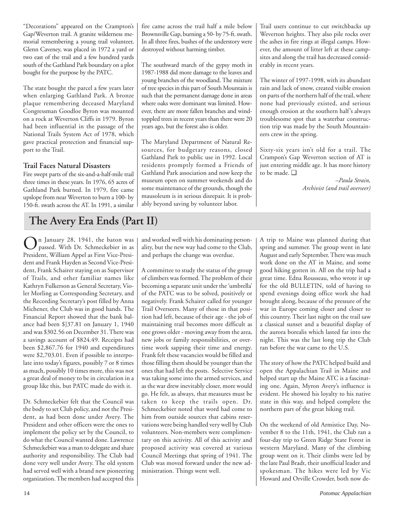"Decorations" appeared on the Crampton's Gap/Weverton trail. A granite wilderness memorial remembering a young trail volunteer, Glenn Caveney, was placed in 1972 a yard or two east of the trail and a few hundred yards south of the Gathland Park boundary on a plot bought for the purpose by the PATC.

The state bought the parcel a few years later when enlarging Gathland Park. A bronze plaque remembering deceased Maryland Congressman Goodloe Byron was mounted on a rock at Weverton Cliffs in 1979. Byron had been influential in the passage of the National Trails System Act of 1978, which gave practical protection and financial support to the Trail.

## **Trail Faces Natural Disasters**

Fire swept parts of the six-and-a-half-mile trail three times in these years. In 1976, 65 acres of Gathland Park burned. In 1979, fire came upslope from near Weverton to burn a 100- by 150-ft. swath across the AT. In 1991, a similar fire came across the trail half a mile below Brownsville Gap, burning a 50- by 75-ft. swath. In all three fires, bushes of the understory were destroyed without harming timber.

The southward march of the gypsy moth in 1987-1988 did more damage to the leaves and young branches of the woodland. The mixture of tree species in this part of South Mountain is such that the permanent damage done in areas where oaks were dominant was limited. However, there are more fallen branches and windtoppled trees in recent years than there were 20 years ago, but the forest also is older.

The Maryland Department of Natural Resources, for budgetary reasons, closed Gathland Park to public use in 1992. Local residents promptly formed a Friends of Gathland Park association and now keep the museum open on summer weekends and do some maintenance of the grounds, though the mausoleum is in serious disrepair. It is probably beyond saving by volunteer labor.

Trail users continue to cut switchbacks up Weverton heights. They also pile rocks over the ashes in fire rings at illegal camps. However, the amount of litter left at these campsites and along the trail has decreased considerably in recent years.

The winter of 1997-1998, with its abundant rain and lack of snow, created visible erosion on parts of the northern half of the trail, where none had previously existed, and serious enough erosion at the southern half's always troublesome spot that a waterbar construction trip was made by the South Mountaineers crew in the spring.

Sixty-six years isn't old for a trail. The Crampon's Gap Weverton section of AT is just entering middle age. It has more history to be made. ❑

> *–Paula Strain, Archivist (and trail overseer)*

## **The Avery Era Ends (Part II)**

 $\bigodot$ n January 28, 1941, the baton was<br>passed. With Dr. Schmeckebier in as President, William Appel as First Vice-President and Frank Hayden as Second Vice-President, Frank Schairer staying on as Supervisor of Trails, and other familiar names like Kathryn Fulkerson as General Secretary, Violet Morling as Corresponding Secretary, and the Recording Secretary's post filled by Anna Michener, the Club was in good hands. The Financial Report showed that the bank balance had been \$]37.81 on January 1, 1940 and was \$302.56 on December 31. There was a savings account of \$824.49. Receipts had been \$2,867.76 for 1940 and expenditures were \$2,703.01. Even if possible to interpolate into today's figures, possibly 7 or 8 times as much, possibly 10 times more, this was not a great deal of money to be in circulation in a group like this, but PATC made do with it.

Dr. Schmeckebier felt that the Council was the body to set Club policy, and not the President, as had been done under Avery. The President and other officers were the ones to implement the policy set by the Council, to do what the Council wanted done. Lawrence Schmeckebier was a man to delegate and share authority and responsibility. The Club had done very well under Avery. The old system had served well with a brand new pioneering organization. The members had accepted this

and worked well with his dominating personality, but the new way had come to the Club, and perhaps the change was overdue.

A committee to study the status of the group of climbers was formed. The problem of their becoming a separate unit under the 'umbrella' of the PATC was to be solved, positively or negatively. Frank Schairer called for younger Trail Overseers. Many of those in that position had left, because of their age - the job of maintaining trail becomes more difficult as one grows older - moving away from the area, new jobs or family responsibilities, or overtime work sapping their time and energy. Frank felt these vacancies would be filled and those filling them should be younger than the ones that had left the posts. Selective Service was taking some into the armed services, and as the war drew inevitably closer, more would go. He felt, as always, that measures must be taken to keep the trails open. Dr. Schmeckebier noted that word had come to him from outside sources that cabins reservations were being handled very well by Club volunteers. Non-members were complimentary on this activity. All of this activity and proposed activity was covered at various Council Meetings that spring of 1941. The Club was moved forward under the new administration. Things went well.

A trip to Maine was planned during that spring and summer. The group went in late August and early September. There was much work done on the AT in Maine, and some good hiking gotten in. All on the trip had a great time. Edna Rousseau, who wrote it up for the old BULLETIN, told of having to spend evenings doing office work she had brought along, because of the pressure of the war in Europe coming closer and closer to this country. Their last night on the trail saw a classical sunset and a beautiful display of the aurora borealis which lasted far into the night. This was the last long trip the Club ran before the war came to the U.S.

The story of how the PATC helped build and open the Appalachian Trail in Maine and helped start up the Maine ATC is a fascinating one. Again, Myron Avery's influence is evident. He showed his loyalty to his native state in this way, and helped complete the northern part of the great hiking trail.

On the weekend of old Armistice Day, November 8 to the 11th, 1941, the Club ran a four-day trip to Green Ridge State Forest in western Maryland. Many of the climbing group went on it. Their climbs were led by the late Paul Bradt, their unofficial leader and spokesman. The hikes were led by Vic Howard and Orville Crowder, both now de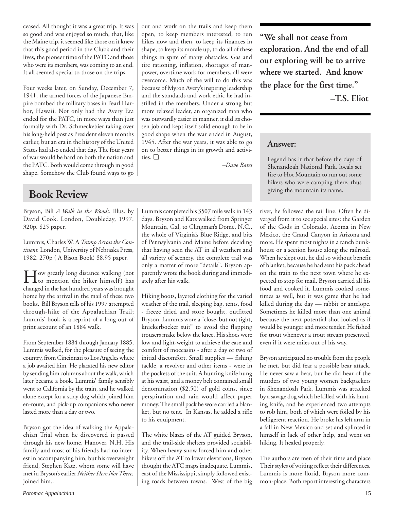ceased. All thought it was a great trip. It was so good and was enjoyed so much, that, like the Maine trip, it seemed like those on it knew that this good period in the Club's and their lives, the pioneer time of the PATC and those who were its members, was coming to an end. It all seemed special to those on the trips.

Four weeks later, on Sunday, December 7, 1941, the armed forces of the Japanese Empire bombed the military bases in Pearl Harbor, Hawaii. Not only had the Avery Era ended for the PATC, in more ways than just formally with Dr. Schmeckebier taking over his long-held post as President eleven months earlier, but an era in the history of the United States had also ended that day. The four years of war would be hard on both the nation and the PATC. Both would come through in good shape. Somehow the Club found ways to go

## **Book Review**

Bryson, Bill *A Walk in the Woods.* Illus. by David Cook. London, Doubleday, 1997. 320p. \$25 paper.

Lummis, Charles W. A *Tramp Across the Continent.* London, University of Nebraska Press, 1982. 270p ( A Bison Book) \$8.95 paper.

How greatly long distance walking (not to mention the hiker himself) has changed in the last hundred years was brought home by the arrival in the mail of these two books. Bill Bryson tells of his 1997 attempted through-hike of the Appalachian Trail; Lummis' book is a reprint of a long out of print account of an 1884 walk.

From September 1884 through January 1885, Lummis walked, for the pleasure of seeing the country, from Cincinnati to Los Angeles where a job awaited him. He placated his new editor by sending him columns about the walk, which later became a book. Lummis' family sensibly went to California by the train, and he walked alone except for a stray dog which joined him en-route, and pick-up companions who never lasted more than a day or two.

Bryson got the idea of walking the Appalachian Trial when he discovered it passed through his new home, Hanover, N.H. His family and most of his friends had no interest in accompanying him, but his overweight friend, Stephen Katz, whom some will have met in Bryson's earlier *Neither Here Nor There,* joined him..

out and work on the trails and keep them open, to keep members interested, to run hikes now and then, to keep its finances in shape, to keep its morale up, to do all of these things in spite of many obstacles. Gas and tire rationing, inflation, shortages of manpower, overtime work for members, all were overcome. Much of the will to do this was because of Myron Avery's inspiring leadership and the standards and work ethic he had instilled in the members. Under a strong but more relaxed leader, an organized man who was outwardly easier in manner, it did its chosen job and kept itself solid enough to be in good shape when the war ended in August, 1945. After the war years, it was able to go on to better things in its growth and activities. ❑

*–Dave Bates*

Lummis completed his 3507 mile walk in 143 days. Bryson and Katz walked from Springer Mountain, Gal, to Clingman's Dome, N.C., the whole of Virginia's Blue Ridge, and bits of Pennsylvania and Maine before deciding that having seen the AT in all weathers and all variety of scenery, the complete trail was only a matter of more "details". Bryson apparently wrote the book during and immediately after his walk.

Hiking boots, layered clothing for the varied weather of the trail, sleeping bag, tents, food - freeze dried and store bought, outfitted Bryson. Lummis wore a "close, but not tight, knickerbocker suit" to avoid the flapping trousers make below the knee. His shoes were low and light-weight to achieve the ease and comfort of moccasins - after a day or two of initial discomfort. Small supplies — fishing tackle, a revolver and other items - were in the pockets of the suit. A hunting knife hung at his waist, and a money belt contained small denomination (\$2.50) of gold coins, since perspiration and rain would affect paper money. The small pack he wore carried a blanket, but no tent. In Kansas, he added a rifle to his equipment.

The white blazes of the AT guided Bryson, and the trail-side shelters provided sociability. When heavy snow forced him and other hikers off the AT to lower elevations, Bryson thought the ATC maps inadequate. Lummis, east of the Mississippi, simply followed existing roads between towns. West of the big **"We shall not cease from exploration. And the end of all our exploring will be to arrive where we started. And know the place for the first time."**

**–T.S. Eliot**

## **Answer:**

Legend has it that before the days of Shenandoah National Park, locals set fire to Hot Mountain to run out some hikers who were camping there, thus giving the mountain its name.

river, he followed the rail line. Often he diverged from it to see special sites: the Garden of the Gods in Colorado, Acoma in New Mexico, the Grand Canyon in Arizona and more. He spent most nights in a ranch bunkhouse or a section house along the railroad. When he slept out, he did so without benefit of blanket, because he had sent his pack ahead on the train to the next town where he expected to stop for mail. Bryson carried all his food and cooked it. Lummis cooked sometimes as well, but it was game that he had killed during the day — rabbit or antelope. Sometimes he killed more than one animal because the next potential shot looked as if would be younger and more tender. He fished for trout whenever a trout stream presented, even if it were miles out of his way.

Bryson anticipated no trouble from the people he met, but did fear a possible bear attack. He never saw a bear, but he did hear of the murders of two young women backpackers in Shenandoah Park. Lummis was attacked by a savage dog which he killed with his hunting knife, and he experienced two attempts to rob him, both of which were foiled by his belligerent reaction. He broke his left arm in a fall in New Mexico and set and splinted it himself in lack of other help, and went on hiking. It healed properly.

The authors are men of their time and place Their styles of writing reflect their differences. Lummis is more florid, Bryson more common-place. Both report interesting characters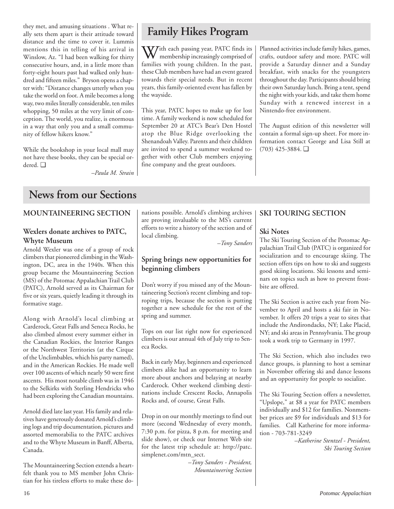they met, and amusing situations . What really sets them apart is their attitude toward distance and the time to cover it. Lummis mentions this in telling of his arrival in Winslow, Az. "I had been walking for thirty consecutive hours, and, in a little more than forty-eight hours past had walked only hundred and fifteen miles." Bryson opens a chapter with: "Distance changes utterly when you take the world on foot. A mile becomes a long way, two miles literally considerable, ten miles whopping, 50 miles at the very limit of conception. The world, you realize, is enormous in a way that only you and a small community of fellow hikers know."

While the bookshop in your local mall may not have these books, they can be special ordered. ❑

*–Paula M. Strain*

## **Family Hikes Program**

With each passing year, PATC finds its<br>membership increasingly comprised of families with young children. In the past, these Club members have had an event geared towards their special needs. But in recent years, this family-oriented event has fallen by the wayside.

This year, PATC hopes to make up for lost time. A family weekend is now scheduled for September 20 at ATC's Bear's Den Hostel atop the Blue Ridge overlooking the Shenandoah Valley. Parents and their children are invited to spend a summer weekend together with other Club members enjoying fine company and the great outdoors.

Planned activities include family hikes, games, crafts, outdoor safety and more. PATC will provide a Saturday dinner and a Sunday breakfast, with snacks for the youngsters throughout the day. Participants should bring their own Saturday lunch. Bring a tent, spend the night with your kids, and take them home Sunday with a renewed interest in a Nintendo-free environment.

The August edition of this newsletter will contain a formal sign-up sheet. For more information contact George and Lisa Still at (703) 425-3884. ❑

## **News from our Sections**

## **MOUNTAINEERING SECTION**

## **Wexlers donate archives to PATC, Whyte Museum**

Arnold Wexler was one of a group of rock climbers that pioneered climbing in the Washington, DC, area in the 1940s. When this group became the Mountaineering Section (MS) of the Potomac Appalachian Trail Club (PATC), Arnold served as its Chairman for five or six years, quietly leading it through its formative stage.

Along with Arnold's local climbing at Carderock, Great Falls and Seneca Rocks, he also climbed almost every summer either in the Canadian Rockies, the Interior Ranges or the Northwest Territories (at the Cirque of the Unclimbables, which his party named), and in the American Rockies. He made well over 100 ascents of which nearly 50 were first ascents. His most notable climb was in 1946 to the Selkirks with Sterling Hendricks who had been exploring the Canadian mountains.

Arnold died late last year. His family and relatives have generously donated Arnold's climbing logs and trip documentation, pictures and assorted memorabilia to the PATC archives and to the Whyte Museum in Banff, Alberta, Canada.

The Mountaineering Section extends a heartfelt thank you to MS member John Christian for his tireless efforts to make these do-

nations possible. Arnold's climbing archives are proving invaluable to the MS's current efforts to write a history of the section and of local climbing.

*–Tony Sanders*

## **Spring brings new opportunities for beginning climbers**

Don't worry if you missed any of the Mountaineering Section's recent climbing and toproping trips, because the section is putting together a new schedule for the rest of the spring and summer.

Tops on our list right now for experienced climbers is our annual 4th of July trip to Seneca Rocks.

Back in early May, beginners and experienced climbers alike had an opportunity to learn more about anchors and belaying at nearby Carderock. Other weekend climbing destinations include Crescent Rocks, Annapolis Rocks and, of course, Great Falls.

Drop in on our monthly meetings to find out more (second Wednesday of every month, 7:30 p.m. for pizza, 8 p.m. for meeting and slide show), or check our Internet Web site for the latest trip schedule at: http://patc. simplenet.com/mtn\_sect.

*–Tony Sanders - President, Mountaineering Section*

## **SKI TOURING SECTION**

## **Ski Notes**

The Ski Touring Section of the Potomac Appalachian Trail Club (PATC) is organized for socialization and to encourage skiing. The section offers tips on how to ski and suggests good skiing locations. Ski lessons and seminars on topics such as how to prevent frostbite are offered.

The Ski Section is active each year from November to April and hosts a ski fair in November. It offers 20 trips a year to sites that include the Andirondacks, NY; Lake Placid, NY; and ski areas in Pennsylvania. The group took a work trip to Germany in 1997.

The Ski Section, which also includes two dance groups, is planning to host a seminar in November offering ski and dance lessons and an opportunity for people to socialize.

The Ski Touring Section offers a newsletter, "Upslope," at \$8 a year for PATC members individually and \$12 for families. Nonmember prices are \$9 for individuals and \$13 for families. Call Katherine for more information - 703-781-3249

*–Katherine Stentzel - President, Ski Touring Section*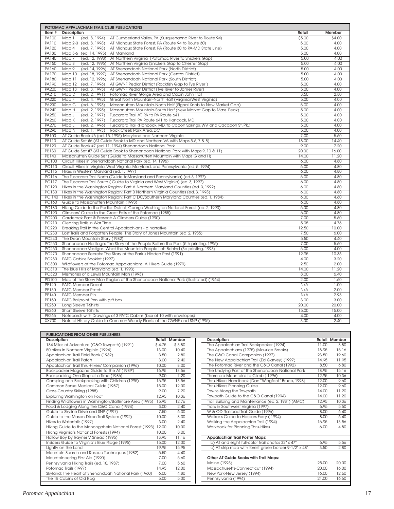|              | POTOMAC APPALACHIAN TRAIL CLUB PUBLICATIONS                                                        |        |        |
|--------------|----------------------------------------------------------------------------------------------------|--------|--------|
| Item#        | Description                                                                                        | Retail | Member |
| PA100        | AT Cumberland Valley, PA (Susquehanna River to Route 94)<br>Map 1<br>(ed. 8, 1994)                 | \$5.00 | \$4.00 |
| PA110        | Map 2-3 (ed. 8, 1998)<br>AT Michaux State Forest, PA (Route 94 to Route 30)                        | 5.00   | 4.00   |
| PA120        | Map 4<br>(ed. 7, 1998)<br>AT Michaux State Forest, PA (Route 30 to PA-MD State Line)               | 5.00   | 4.00   |
| PA130        | Map 5-6 (ed. 14, 1995)<br>AT Maryland                                                              | 5.00   | 4.00   |
| PA140        | Map 7<br>(ed. 12, 1998)<br>AT Northern Virginia (Potomac River to Snickers Gap)                    | 5.00   | 4.00   |
| PA150        | Map 8<br>(ed. 12, 1996)<br>AT Northern Virginia (Snickers Gap to Chester Gap)                      | 5.00   | 4.00   |
| PA160        | Map 9<br>(ed. 14, 1996)<br>AT Shenandoah National Park (North District)                            | 5.00   | 4.00   |
| <b>PA170</b> | Map 10<br>(ed. 18, 1997)<br>AT Shenandoah National Park (Central District)                         | 5.00   | 4.00   |
| <b>PA180</b> | Map 11<br>(ed. 12, 1996)<br>AT Shenandoah National Park (South District)                           | 5.00   | 4.00   |
| PA190        | Map 12<br>(ed. 7, 1996)<br>AT GWNF Pedlar District (Rockfish Gap to Tye River)                     | 5.00   | 4.00   |
| <b>PA200</b> | (ed. 3, 1995)<br>Map 13<br>AT GWNF Pedlar District (Tye River to James River)                      | 5.00   | 4.00   |
| PA210        | Map D<br>(ed. 2, 1991)<br>Potomac River Gorge Area and Cabin John Trail                            | 3.50   | 2.80   |
| PA220        | Map F<br>(ed. 4, 1995)<br>Great North Mountain-North Half (Virginia/West Virginia)                 | 5.00   | 4.00   |
| <b>PA230</b> | Map G<br>(ed. 6, 1998)<br>Massanutten Mountain-North Half (Signal Knob to New Market Gap)          | 5.00   | 4.00   |
| PA240        | Map H<br>(ed. 2, 1995)<br>Massanutten Mountain-South Half (New Market Gap to Mass. Peak)           | 5.00   | 4.00   |
| <b>PA250</b> | (ed. 2, 1997)<br>Map J<br>Tuscarora Trail AT, PA to PA Route 641                                   | 5.00   | 4.00   |
| PA260        | Map K<br>(ed. 2, 1997)<br>Tuscarora Trail PA Route 641 to Hancock, MD                              | 5.00   | 4.00   |
| <b>PA270</b> | (ed. 2, 1996)<br>Tuscarora Trail (Hancock, MD, to Capon Springs, WV, and Cacapon St. Pk.)<br>Map L | 5.00   | 4.00   |
| PA290        | Map N<br>(ed. 1, 1993)<br>Rock Creek Park Area, DC                                                 | 5.00   | 4.00   |
| <b>PB100</b> | AT Guide Book #6 (ed. 15, 1995) Maryland and Northern Virginia                                     | 7.00   | 5.60   |
| <b>PB110</b> | AT Guide Set #6 (AT Guide Book to MD and Northern VA with Maps 5-6, 7 & 8)                         | 18.00  | 14.40  |
| PB120        | AT Guide Book #7 (ed. 11, 1994) Shenandoah National Park                                           | 9.00   | 7.20   |
| <b>PB130</b> | AT Guide Set #7 (AT Guide Book to Shenandoah National Park with Maps 9, 10 & 11)                   | 20.00  | 16.00  |
| <b>PB140</b> | Massanutten Guide Set (Guide to Massanutten Mountain with Maps G and H)                            | 14.00  | 11.20  |
| <b>PC100</b> | Circuit Hikes in Shenandoah National Park (ed. 14, 1996)                                           | 6.00   | 4.80   |
| <b>PC110</b> | Circuit Hikes in Virginia, West Virginia, Maryland, and Pennsylvania (ed. 5, 1994)                 | 6.00   | 4.80   |
| <b>PC115</b> | Hikes in Western Maryland (ed. 1, 1997)                                                            | 6.00   | 4.80   |
| PC116        | The Tuscarora Trail North (Guide toMaryland and Pennsylvania) (ed.3, 1997)                         | 6.00   | 4.80   |
| <b>PC117</b> | The Tuscarora Trail South (Guide to Virginia and West Virginia) (ed. 3, 1997)                      | 6.00   | 4.80   |
| <b>PC120</b> | Hikes in the Washington Region: Part A Northern Maryland Counties (ed. 3, 1992)                    | 6.00   | 4.80   |
| PC130        | Hikes in the Washington Region: Part B Northern Virginia Counties (ed. 3, 1993)                    | 6.00   | 4.80   |
| PC 140       | Hikes in the Washington Region: Part C DC/Southern Maryland Counties (ed. 1, 1984)                 | 6.00   | 4.60   |
| PC160        | Guide to Massanutten Mountain (1993)                                                               | 6.00   | 4.80   |
| PC180        | Hiking Guide to the Pedlar District, George Washington National Forest (ed. 2, 1990)               | 6.00   | 4.80   |
| <b>PC190</b> | Climbers' Guide to the Great Falls of the Potomac (1985)                                           | 6.00   | 4.80   |
| <b>PC200</b> | Carderock Past & Present: A Climbers Guide (1990)                                                  | 7.00   | 5.60   |
| PC210        | Clearing Trails in War Time                                                                        | 5.95   | 4.76   |
| <b>PC220</b> | Breaking Trail in the Central Appalachians - a narrative                                           | 12.50  | 10.00  |
| <b>PC230</b> | Lost Trails and Forgotten People: The Story of Jones Mountain (ed. 2, 1985)                        | 7.50   | 6.00   |
| <b>PC240</b> | The Dean Mountain Story (1982)                                                                     | 5.50   | 4.40   |
| <b>PC250</b> | Shenandoah Heritage: The Story of the People Before the Park (5th printing, 1995)                  | 7.00   | 5.60   |
| <b>PC260</b> | Shenandoah Vestiges: What the Mountain People Left Behind (3d printing, 1993)                      | 5.00   | 4.00   |
| <b>PC270</b> | Shenandoah Secrets: The Story of the Park's Hidden Past (1991)                                     | 12.95  | 10.36  |
| <b>PC280</b> | PATC Cabins Booklet (1997)                                                                         | 4.00   | 3.20   |
| <b>PC300</b> | Wildflowers of the Potomac Appalachians: A Hikers Guide (1979)                                     | 2.50   | 2.00   |
| PC310        | The Blue Hills of Maryland (ed. 1, 1993)                                                           | 14.00  | 11.20  |
| <b>PC320</b> | Memories of a Lewis Mountain Man (1993)                                                            | 8.00   | 6.40   |
| <b>PD100</b> | Map of the Stony Man Region of the Shenandoah National Park (Illustrated) (1964)                   | 2.00   | 1.60   |
| PE120        | PATC Member Decal                                                                                  | N/A    | 1.00   |
| <b>PE130</b> | PATC Member Patch                                                                                  | N/A    | 2.00   |
| PE140        | PATC Member Pin                                                                                    | N/A    | 2.95   |
| PE150        | PATC Ballpoint Pen with gift box                                                                   | 3.00   | 3.00   |
| <b>PE250</b> | Long Sleeve T-Shirts                                                                               | 20.00  | 20.00  |
| <b>PE260</b> | Short Sleeve T-Shirts                                                                              | 15.00  | 15.00  |
| PE265        | Notecards with Drawings of 3 PATC Cabins (box of 10 with envelopes)                                | 4.00   | 4.00   |
| <b>XX700</b> | Natural History Guide to Common Woody Plants of the GWNF and SNP (1995)                            | 3.00   | 2.40   |

| <b>PUBLICATIONS FROM OTHER PUBLISHERS</b>               |        |                      |
|---------------------------------------------------------|--------|----------------------|
| Description                                             |        | <b>Retail Member</b> |
| 184 Miles of Adventure (C&O Towpath) (1991)             | \$4.75 | \$3.80               |
| 50 hikes in Northern Virginia (1994)                    | 13.00  | 10.40                |
| Appalachian Trail Field Book (1982)                     | 3.50   | 2.80                 |
| Appalachian Trail Patch                                 | 3.00   | 2.40                 |
| Appalachian Trail Thru-Hikers' Companion (1996)         | 10.00  | 8.00                 |
| Backpacker Magazine Guide to the AT (1989')             | 16.95  | 13.56                |
| Backpacking One Step at a Time (1986)                   | 9.00   | 7.20                 |
| Camping and Backpacking with Children (1995)            | 16.95  | 13.56                |
| Common Sense Medical Guide (1987)                       | 15.00  | 12.00                |
| Cross-Country Skiing (1988)                             | 9.00.  | 7.20                 |
| Exploring Washington on Foot                            | 12.95  | 10.36                |
| Finding Wildflowers in Washington/Baltimore Area (1995) | 15.95  | 12.76                |
| Food & Lodging Along the C&O Canal (1994)               | 3.00   | 2.40                 |
| Guide to Skyline Drive and SNP (1997)                   | 7.50   | 6.00                 |
| Guide to the Mason-Dixon Trail System (1992)            | 10.00  | 8.00                 |
| Hikes to Waterfalls (1997)                              | 3.00   | 2.40                 |
| Hiking Guide to the Monongahela National Forest (1993)  | 12.00  | 10.00                |
| Hiking Virginia's National Forests (1994)               | 10.00  | 8.00                 |
| Hollow Boy by Rayner V. Snead (1995)                    | 13.95  | 11.16                |
| Insiders Guide to Virginia's Blue Ridge (1995)          | 15.00  | 12.00                |
| Lightly on the Land                                     | 19.95  | 15.95                |
| Mountain Search and Rescue Techniques (1982)            | 5.50   | 4.40                 |
| Mountaineering First Aid (1990)                         | 7.00   | 5.60                 |
| Pennsylvania Hiking Trails (ed. 10, 1987)               | 7.00   | 5.60                 |
| Potomac Trails (1997)                                   | 14.95  | 12.00                |
| Skyland: The Heart of Shenandoah National Park (1960)   | 6.00   | 4.80                 |
| The 18 Cabins of Old Rag                                | 5.00   | 5.00                 |

| Description                                           |       | <b>Retail Member</b> |
|-------------------------------------------------------|-------|----------------------|
| The Appalachian Trail Backpacker (1994)               | 11.00 | 8.80                 |
| The Appalachians (1975) (Maurice Brooks)              | 18.95 | 15.16                |
| The C&O Canal Companion (1997)                        | 23.50 | 19.60                |
| The New Appalachian Trail (Ed Garvey) (1997)          | 14.95 | 11.95                |
| The Potomac River and the C&O Canal (1992)            | 8.50  | 6.80                 |
| The Undying Past of the Shenandoah National Park      | 18.95 | 15.16                |
| There are Mountains to Climb (1996)                   | 12.95 | 10.36                |
| Thru-Hikers Handbook (Dan "Wingfoot" Bruce, 1998)     | 12.00 | 9.60                 |
| Thru-Hikers Planning Guide                            | 12.00 | 9.60                 |
| Towns Along the Towpath                               | 14.00 | 11.20                |
| Towpath Guide to the C&O Canal (1994)                 | 14.00 | 11.20                |
| Trail Building and Maintenance (ed. 2, 1981) (AMC)    | 12.95 | 10.36                |
| Trails in Southwest Virginia (1997)                   | 6.95  | 5.50                 |
| W & OD Railroad Trail Guide (1996)                    | 8.00  | 6.40                 |
| Walker s Guide to Harpers Ferry (1994)                | 8.00  | 6.40                 |
| Walking the Appalachian Trail (1994)                  | 16.95 | 13.56                |
| Workbook for Planning Thru-Hikes                      | 6.00  | 4.80                 |
|                                                       |       |                      |
| Appalachian Trail Poster Maps:                        |       |                      |
| b) AT and eight full-color trail photos 32" x 47"     | 6.95  | 5.56                 |
| c) AT strip map with forest green border 9-1/2" x 48" | 3.50  | 2.80                 |
|                                                       |       |                      |
| Other AT Guide Books with Trail Maps:                 |       |                      |
| Maine (1993)                                          | 25.00 | 20.00                |
| Massachusetts-Connecticut (1994)                      | 20.00 | 16.00                |
| New York-New Jersey (1994)                            | 16.00 | 12.60                |
| Pennsylvania (1994)                                   | 21.00 | 16.60                |
|                                                       |       |                      |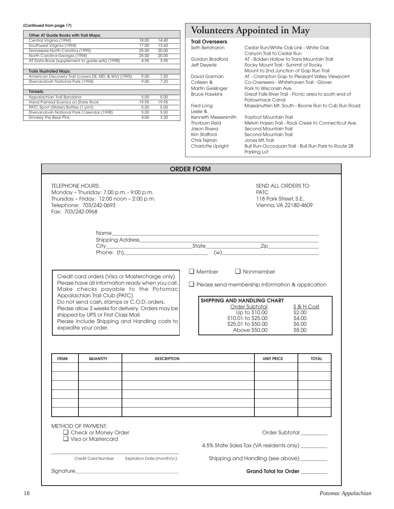| Other AT Guide Books with Trail Maps:                 |       |       |  |
|-------------------------------------------------------|-------|-------|--|
| Central Virginia (1994)                               | 18.00 | 14.40 |  |
| Southwest Virginia (1994)                             | 17.00 | 13.60 |  |
| Tennessee-North Carolina (1995)                       | 25.00 | 20.00 |  |
| North Carolina-Georgia (1994)                         | 25.00 | 20.00 |  |
| AT Data Book (supplement to guide sets) (1998)        | 4.95  | 3.95  |  |
|                                                       |       |       |  |
| <b>Trails Illustrated Maps:</b>                       |       |       |  |
| American Discovery Trail (covers DE, MD, & WV) (1995) | 9.00  | 7.20  |  |
| Shenandoah National Park (1994)                       | 9.00  | 7.20  |  |
|                                                       |       |       |  |
| Trinkets:                                             |       |       |  |
| Appalachian Trail Bandana                             | 5.00  | 5.00  |  |
| Hand Painted Scenics on State Rock                    | 19.95 | 19.95 |  |
| PATC Sport (Water) Bottles (1 pint)                   | 5.00  | 5.00  |  |
| Shenandoah National Park Calendar (1998)              | 5.00  | 5.00  |  |
| Smokey the Bear Pins                                  | 4.00  | 3.20  |  |

## (Continued from page 17)<br> **Continued from page 17) Volunteers Appointed in May**

## **Trail Overseers**

Seth Betah

| Seth Betaharon           | Cedar Run/White Oak Link - White Oak                  |
|--------------------------|-------------------------------------------------------|
|                          | Canyon Trail to Cedar Run                             |
| Gordon Bradford          | AT - Bolden Hollow to Trans Mountain Trail            |
| Jeff Deyerle             | Rocky Mount Trail - Summit of Rocky                   |
|                          | Mount to 2nd Junction of Gap Run Trail                |
| David Garman             | AT - Crampton Gap to Pleasant Valley Viewpoint        |
| Colleen &                | Co-Overseers - Whitehaven Trail - Glover              |
| Martin Geislinger        | Park to Wisconsin Ave.                                |
| <b>Bruce Hawkins</b>     | Great Falls River Trail - Picnic area to south end of |
|                          | Patowmack Canal                                       |
| Fred Long                | Massanutten Mt. South - Boone Run to Cub Run Road     |
| Leslie $\&$              |                                                       |
| Kenneth Messersmith      | Trayfoot Mountain Trail                               |
| <b>Thorburn Reid</b>     | Melvin Hazen Trail - Rock Creek to Connecticut Ave.   |
| Jason Rivera             | Second Mountain Trail                                 |
| Kim Stafford             | Second Mountain Trail                                 |
| Chris Tejirian           | Jones Mt. Trail                                       |
| <b>Charlotte Upright</b> | Bull Run-Occoguan Trail - Bull Run Park to Route 28   |
|                          | Parking Lot                                           |

|                                                                                                                                                                  |                                                                                                                                            |                                                                                                                                                                                                                                               | <b>ORDER FORM</b> |                                                                                                                                                                                                                   |                                                    |
|------------------------------------------------------------------------------------------------------------------------------------------------------------------|--------------------------------------------------------------------------------------------------------------------------------------------|-----------------------------------------------------------------------------------------------------------------------------------------------------------------------------------------------------------------------------------------------|-------------------|-------------------------------------------------------------------------------------------------------------------------------------------------------------------------------------------------------------------|----------------------------------------------------|
| <b>TELEPHONE HOURS:</b><br>Monday - Thursday: 7:00 p.m. - 9:00 p.m.<br>Thursday - Friday: 12:00 noon - 2:00 p.m.<br>Telephone: 703/242-0693<br>Fax: 703/242-0968 |                                                                                                                                            |                                                                                                                                                                                                                                               |                   | SEND ALL ORDERS TO:<br><b>PATC</b><br>118 Park Street, S.E.<br>Vienna, VA 22180-4609                                                                                                                              |                                                    |
|                                                                                                                                                                  |                                                                                                                                            | Shipping Address_____________                                                                                                                                                                                                                 |                   |                                                                                                                                                                                                                   |                                                    |
|                                                                                                                                                                  | Appalachian Trail Club (PATC)<br>Do not send cash, stamps or C.O.D. orders.<br>shipped by UPS or First Class Mail.<br>expedite your order. | Credit card orders (Visa or Mastercharge only)<br>Please have all information ready when you call.<br>Make checks payable to the Potomac<br>Please allow 3 weeks for delivery. Orders may be<br>Please include Shipping and Handling costs to | $\Box$ Member     | $\Box$ Nonmember<br>$\Box$ Please send membership information & application<br><b>SHIPPING AND HANDLING CHART</b><br>Order Subtotal<br>Up to \$10.00<br>\$10.01 to \$25.00<br>\$25.01 to \$50.00<br>Above \$50.00 | S & H Cost<br>\$2,00<br>\$4.00<br>\$6,00<br>\$8,00 |
| ITEM#                                                                                                                                                            | QUANTITY                                                                                                                                   | <b>DESCRIPTION</b>                                                                                                                                                                                                                            |                   | <b>UNIT PRICE</b>                                                                                                                                                                                                 | <b>TOTAL</b>                                       |
|                                                                                                                                                                  |                                                                                                                                            |                                                                                                                                                                                                                                               |                   |                                                                                                                                                                                                                   |                                                    |
|                                                                                                                                                                  | <b>METHOD OF PAYMENT:</b><br>$\Box$ Check or Money Order<br>$\Box$ Visa or Mastercard                                                      |                                                                                                                                                                                                                                               |                   | Order Subtotal<br>4.5% State Sales Tax (VA residents only) ________                                                                                                                                               |                                                    |
|                                                                                                                                                                  |                                                                                                                                            | Credit Card Number Expiration Date (month/yr.)                                                                                                                                                                                                |                   | Shipping and Handling (see above) _________                                                                                                                                                                       |                                                    |
|                                                                                                                                                                  |                                                                                                                                            |                                                                                                                                                                                                                                               |                   | Grand Total for Order ________                                                                                                                                                                                    |                                                    |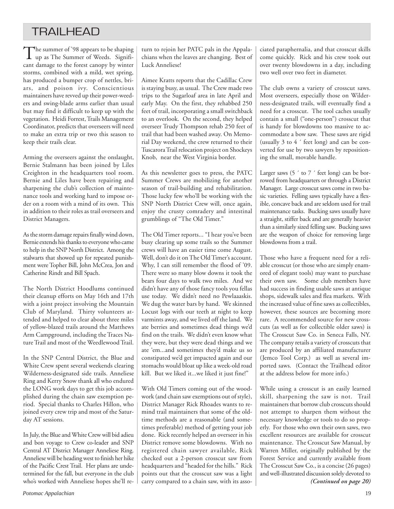## TRAILHEAD

The summer of '98 appears to be shaping<br>up as The Summer of Weeds. Significant damage to the forest canopy by winter storms, combined with a mild, wet spring, has produced a bumper crop of nettles, briars, and poison ivy. Conscientious maintainers have revved up their power-weeders and swing-blade arms earlier than usual but may find it difficult to keep up with the vegetation. Heidi Forrest, Trails Management Coordinator, predicts that overseers will need to make an extra trip or two this season to keep their trails clear.

Arming the overseers against the onslaught, Bernie Stalmann has been joined by Liles Creighton in the headquarters tool room. Bernie and Liles have been repairing and sharpening the club's collection of maintenance tools and working hard to impose order on a room with a mind of its own. This in addition to their roles as trail overseers and District Managers.

As the storm damage repairs finally wind down, Bernie extends his thanks to everyone who came to help in the SNP North District. Among the stalwarts that showed up for repeated punishment were Topher Bill, John McCrea, Jon and Catherine Rindt and Bill Spach.

The North District Hoodlums continued their cleanup efforts on May 16th and 17th with a joint project involving the Mountain Club of Maryland. Thirty volunteers attended and helped to clear about three miles of yellow-blazed trails around the Matthews Arm Campground, including the Traces Nature Trail and most of the Weedlewood Trail.

In the SNP Central District, the Blue and White Crew spent several weekends clearing Wilderness-designated side trails. Anneliese Ring and Kerry Snow thank all who endured the LONG work days to get this job accomplished during the chain saw exemption period. Special thanks to Charles Hillon, who joined every crew trip and most of the Saturday AT sessions.

In July, the Blue and White Crew will bid adieu and bon voyage to Crew co-leader and SNP Central AT District Manager Anneliese Ring. Anneliese will be heading west to finish her hike of the Pacific Crest Trail. Her plans are undetermined for the fall, but everyone in the club who's worked with Anneliese hopes she'll return to rejoin her PATC pals in the Appalachians when the leaves are changing. Best of Luck Anneliese!

Aimee Kratts reports that the Cadillac Crew is staying busy, as usual. The Crew made two trips to the Sugarloaf area in late April and early May. On the first, they rehabbed 250 feet of trail, incorporating a small switchback to an overlook. On the second, they helped overseer Trudy Thompson rehab 250 feet of trail that had been washed away. On Memorial Day weekend, the crew returned to their Tuscarora Trail relocation project on Shockeys Knob, near the West Virginia border.

As this newsletter goes to press, the PATC Summer Crews are mobilizing for another season of trail-building and rehabilitation. Those lucky few who'll be working with the SNP North District Crew will, once again, enjoy the crusty comradery and intestinal grumblings of "The Old Timer."

The Old Timer reports... "I hear you've been busy clearing up some trails so the Summer crews will have an easier time come August. Well, don't do it on The Old Timer's account. Why, I can still remember the flood of '09. There were so many blow downs it took the bears four days to walk two miles. And we didn't have any of those fancy tools you fellas use today. We didn't need no Pewlaaaskis. We dug the water bars by hand. We skinned Locust logs with our teeth at night to keep varmints away, and we lived off the land. We ate berries and sometimes dead things we'd find on the trails. We didn't even know what they were, but they were dead things and we ate 'em...and sometimes they'd make us so constipated we'd get impacted again and our stomachs would bloat up like a week-old road kill. But we liked it...we liked it just fine!"

With Old Timers coming out of the woodwork (and chain saw exemptions out of style), District Manager Rick Rhoades wants to remind trail maintainers that some of the oldtime methods are a reasonable (and sometimes preferable) method of getting your job done. Rick recently helped an overseer in his District remove some blowdowns. With no registered chain sawyer available, Rick checked out a 2-person crosscut saw from headquarters and "headed for the hills." Rick points out that the crosscut saw was a light carry compared to a chain saw, with its associated paraphernalia, and that crosscut skills come quickly. Rick and his crew took out over twenty blowdowns in a day, including two well over two feet in diameter.

The club owns a variety of crosscut saws. Most overseers, especially those on Wilderness-designated trails, will eventually find a need for a crosscut. The tool caches usually contain a small ("one-person") crosscut that is handy for blowdowns too massive to accommodate a bow saw. These saws are rigid (usually 3 to 4 ´ feet long) and can be converted for use by two sawyers by repositioning the small, movable handle.

Larger saws (5  $\prime$  to 7  $\prime$  feet long) can be borrowed from headquarters or through a District Manager. Large crosscut saws come in two basic varieties. Felling saws typically have a flexible, concave back and are seldom used for trail maintenance tasks. Bucking saws usually have a straight, stiffer back and are generally heavier than a similarly sized felling saw. Bucking saws are the weapon of choice for removing large blowdowns from a trail.

Those who have a frequent need for a reliable crosscut (or those who are simply enamored of elegant tools) may want to purchase their own saw. Some club members have had success in finding usable saws at antique shops, sidewalk sales and flea markets. With the increased value of fine saws as collectibles, however, these sources are becoming more rare. A recommended source for new crosscuts (as well as for collectible older saws) is The Crosscut Saw Co. in Seneca Falls, NY. The company retails a variety of crosscuts that are produced by an affiliated manufacturer (Jemco Tool Corp.) as well as several imported saws. (Contact the Trailhead editor at the address below for more info.)

While using a crosscut is an easily learned skill, sharpening the saw is not. Trail maintainers that borrow club crosscuts should not attempt to sharpen them without the necessary knowledge or tools to do so properly. For those who own their own saws, two excellent resources are available for crosscut maintenance. The Crosscut Saw Manual, by Warren Miller, originally published by the Forest Service and currently available from The Crosscut Saw Co., is a concise (26 pages) and well-illustrated discussion solely devoted to *(Continued on page 20)*